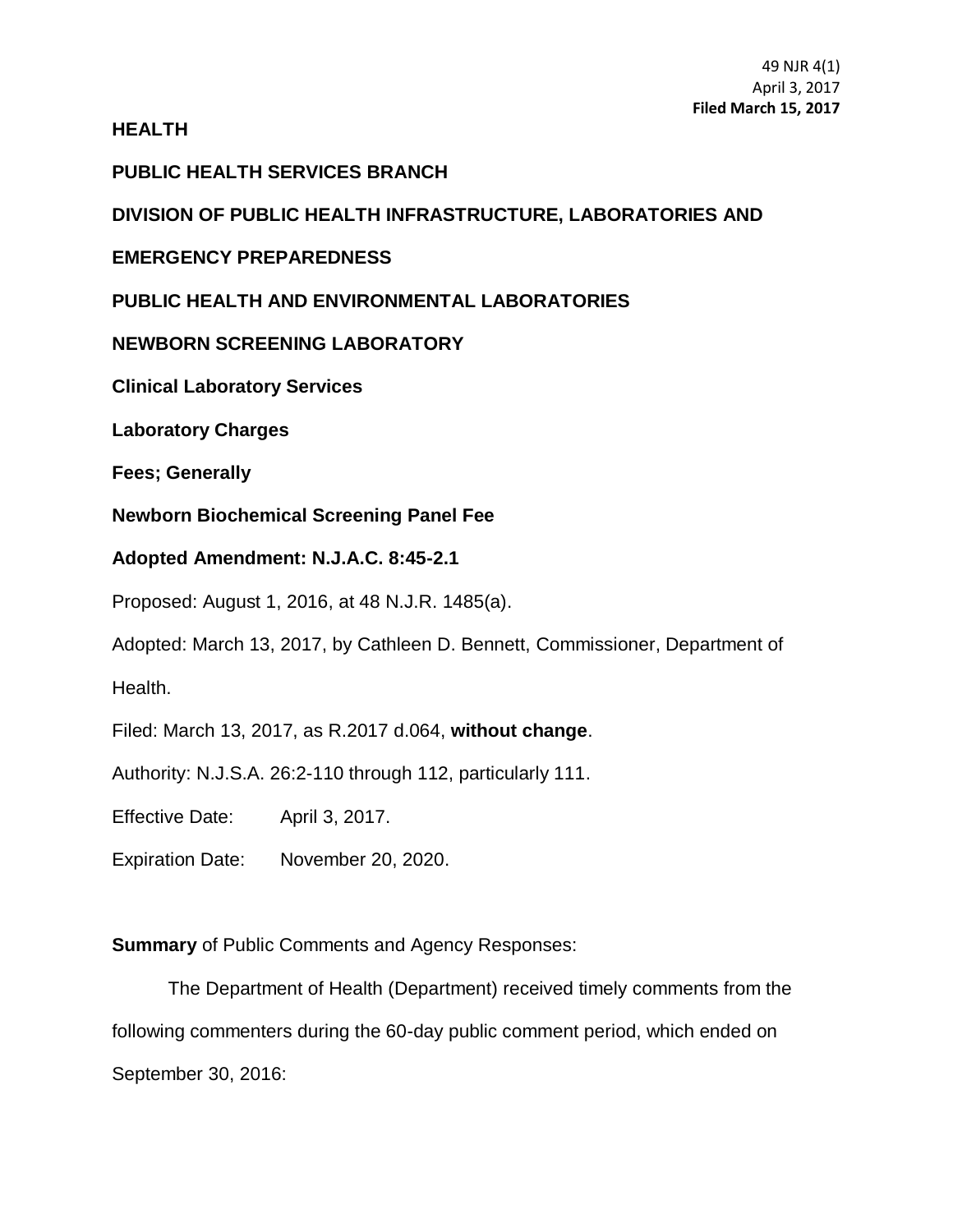## **HEALTH**

## **PUBLIC HEALTH SERVICES BRANCH**

# **DIVISION OF PUBLIC HEALTH INFRASTRUCTURE, LABORATORIES AND**

## **EMERGENCY PREPAREDNESS**

# **PUBLIC HEALTH AND ENVIRONMENTAL LABORATORIES**

# **NEWBORN SCREENING LABORATORY**

**Clinical Laboratory Services**

**Laboratory Charges**

**Fees; Generally**

**Newborn Biochemical Screening Panel Fee**

## **Adopted Amendment: N.J.A.C. 8:45-2.1**

Proposed: August 1, 2016, at 48 N.J.R. 1485(a).

Adopted: March 13, 2017, by Cathleen D. Bennett, Commissioner, Department of

Health.

Filed: March 13, 2017, as R.2017 d.064, **without change**.

Authority: N.J.S.A. 26:2-110 through 112, particularly 111.

Effective Date: April 3, 2017.

Expiration Date: November 20, 2020.

**Summary** of Public Comments and Agency Responses:

The Department of Health (Department) received timely comments from the following commenters during the 60-day public comment period, which ended on September 30, 2016: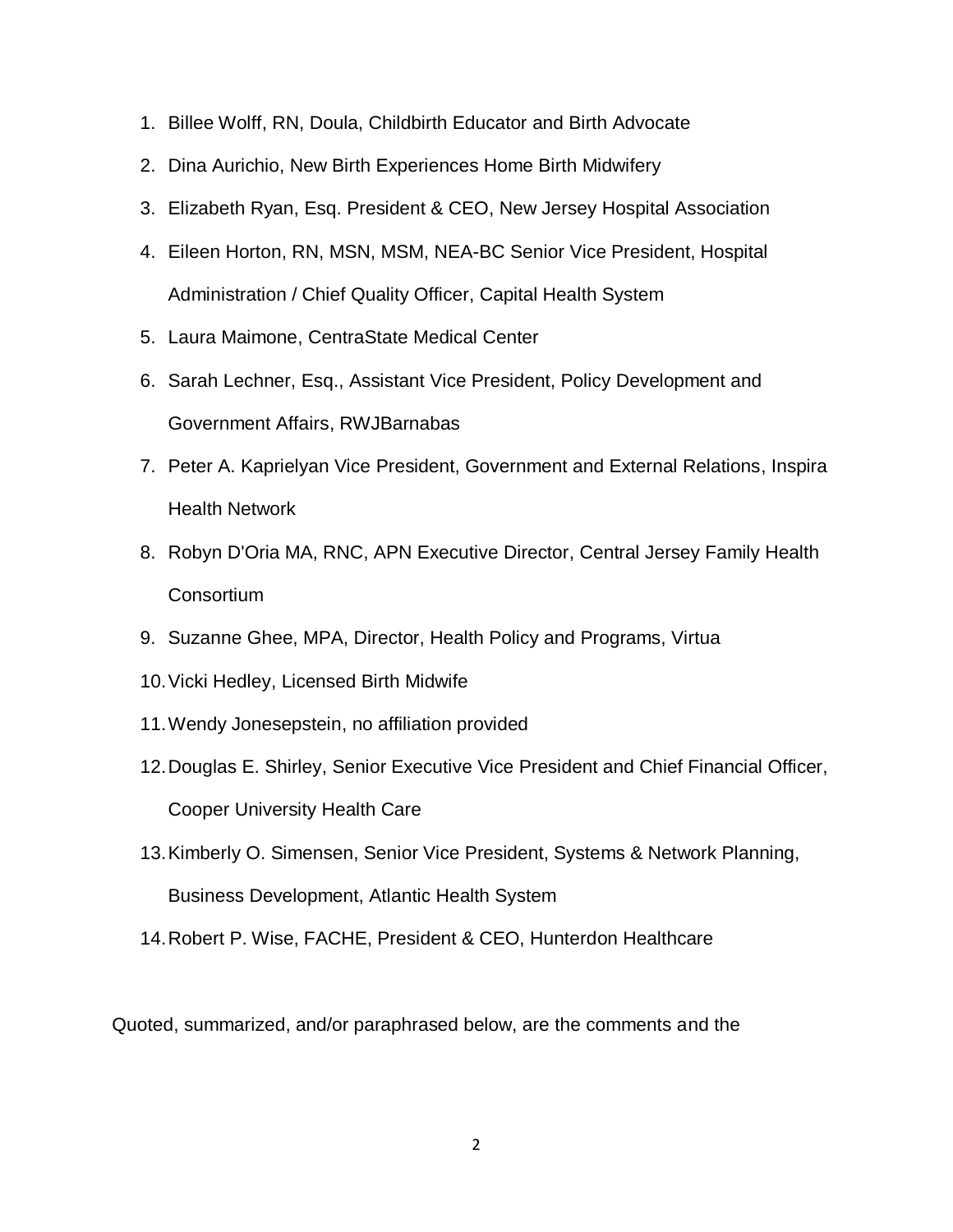- 1. Billee Wolff, RN, Doula, Childbirth Educator and Birth Advocate
- 2. Dina Aurichio, New Birth Experiences Home Birth Midwifery
- 3. Elizabeth Ryan, Esq. President & CEO, New Jersey Hospital Association
- 4. Eileen Horton, RN, MSN, MSM, NEA-BC Senior Vice President, Hospital Administration / Chief Quality Officer, Capital Health System
- 5. Laura Maimone, CentraState Medical Center
- 6. Sarah Lechner, Esq., Assistant Vice President, Policy Development and Government Affairs, RWJBarnabas
- 7. Peter A. Kaprielyan Vice President, Government and External Relations, Inspira Health Network
- 8. Robyn D'Oria MA, RNC, APN Executive Director, Central Jersey Family Health **Consortium**
- 9. Suzanne Ghee, MPA, Director, Health Policy and Programs, Virtua
- 10.Vicki Hedley, Licensed Birth Midwife
- 11.Wendy Jonesepstein, no affiliation provided
- 12.Douglas E. Shirley, Senior Executive Vice President and Chief Financial Officer, Cooper University Health Care
- 13.Kimberly O. Simensen, Senior Vice President, Systems & Network Planning, Business Development, Atlantic Health System
- 14.Robert P. Wise, FACHE, President & CEO, Hunterdon Healthcare

Quoted, summarized, and/or paraphrased below, are the comments and the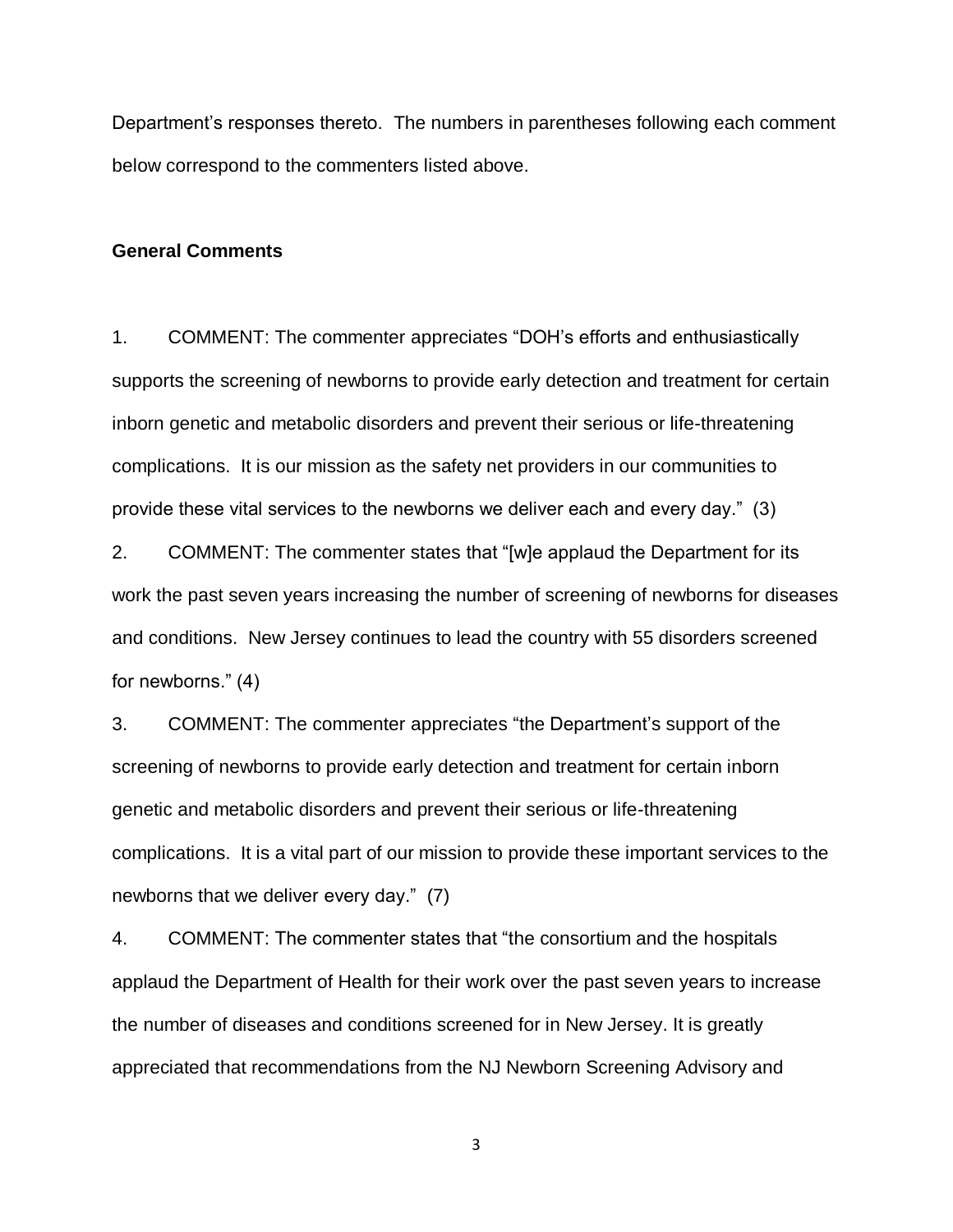Department's responses thereto. The numbers in parentheses following each comment below correspond to the commenters listed above.

#### **General Comments**

1. COMMENT: The commenter appreciates "DOH's efforts and enthusiastically supports the screening of newborns to provide early detection and treatment for certain inborn genetic and metabolic disorders and prevent their serious or life-threatening complications. It is our mission as the safety net providers in our communities to provide these vital services to the newborns we deliver each and every day." (3)

2. COMMENT: The commenter states that "[w]e applaud the Department for its work the past seven years increasing the number of screening of newborns for diseases and conditions. New Jersey continues to lead the country with 55 disorders screened for newborns." (4)

3. COMMENT: The commenter appreciates "the Department's support of the screening of newborns to provide early detection and treatment for certain inborn genetic and metabolic disorders and prevent their serious or life-threatening complications. It is a vital part of our mission to provide these important services to the newborns that we deliver every day." (7)

4. COMMENT: The commenter states that "the consortium and the hospitals applaud the Department of Health for their work over the past seven years to increase the number of diseases and conditions screened for in New Jersey. It is greatly appreciated that recommendations from the NJ Newborn Screening Advisory and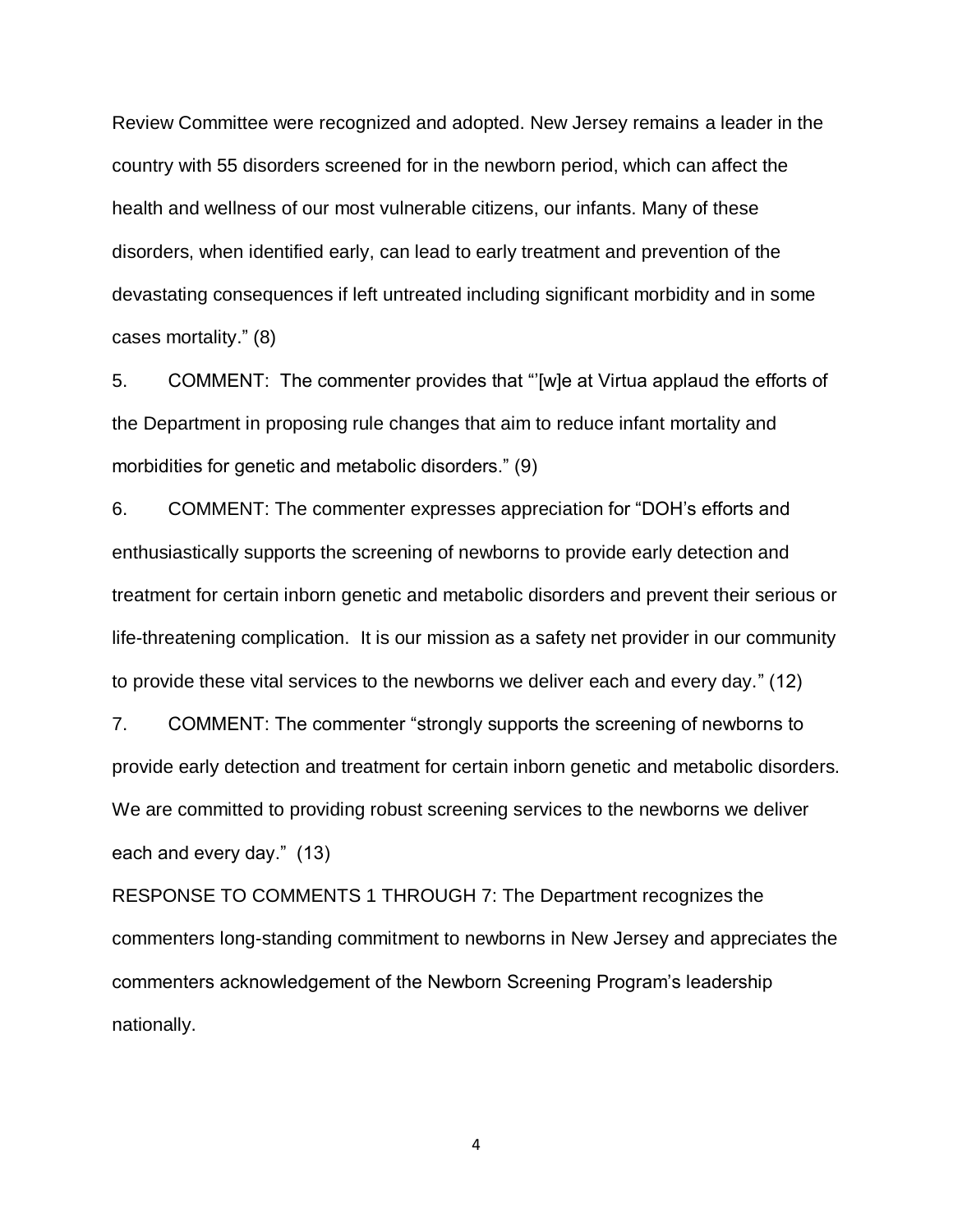Review Committee were recognized and adopted. New Jersey remains a leader in the country with 55 disorders screened for in the newborn period, which can affect the health and wellness of our most vulnerable citizens, our infants. Many of these disorders, when identified early, can lead to early treatment and prevention of the devastating consequences if left untreated including significant morbidity and in some cases mortality." (8)

5. COMMENT: The commenter provides that "'[w]e at Virtua applaud the efforts of the Department in proposing rule changes that aim to reduce infant mortality and morbidities for genetic and metabolic disorders." (9)

6. COMMENT: The commenter expresses appreciation for "DOH's efforts and enthusiastically supports the screening of newborns to provide early detection and treatment for certain inborn genetic and metabolic disorders and prevent their serious or life-threatening complication. It is our mission as a safety net provider in our community to provide these vital services to the newborns we deliver each and every day." (12)

7. COMMENT: The commenter "strongly supports the screening of newborns to provide early detection and treatment for certain inborn genetic and metabolic disorders. We are committed to providing robust screening services to the newborns we deliver each and every day." (13)

RESPONSE TO COMMENTS 1 THROUGH 7: The Department recognizes the commenters long-standing commitment to newborns in New Jersey and appreciates the commenters acknowledgement of the Newborn Screening Program's leadership nationally.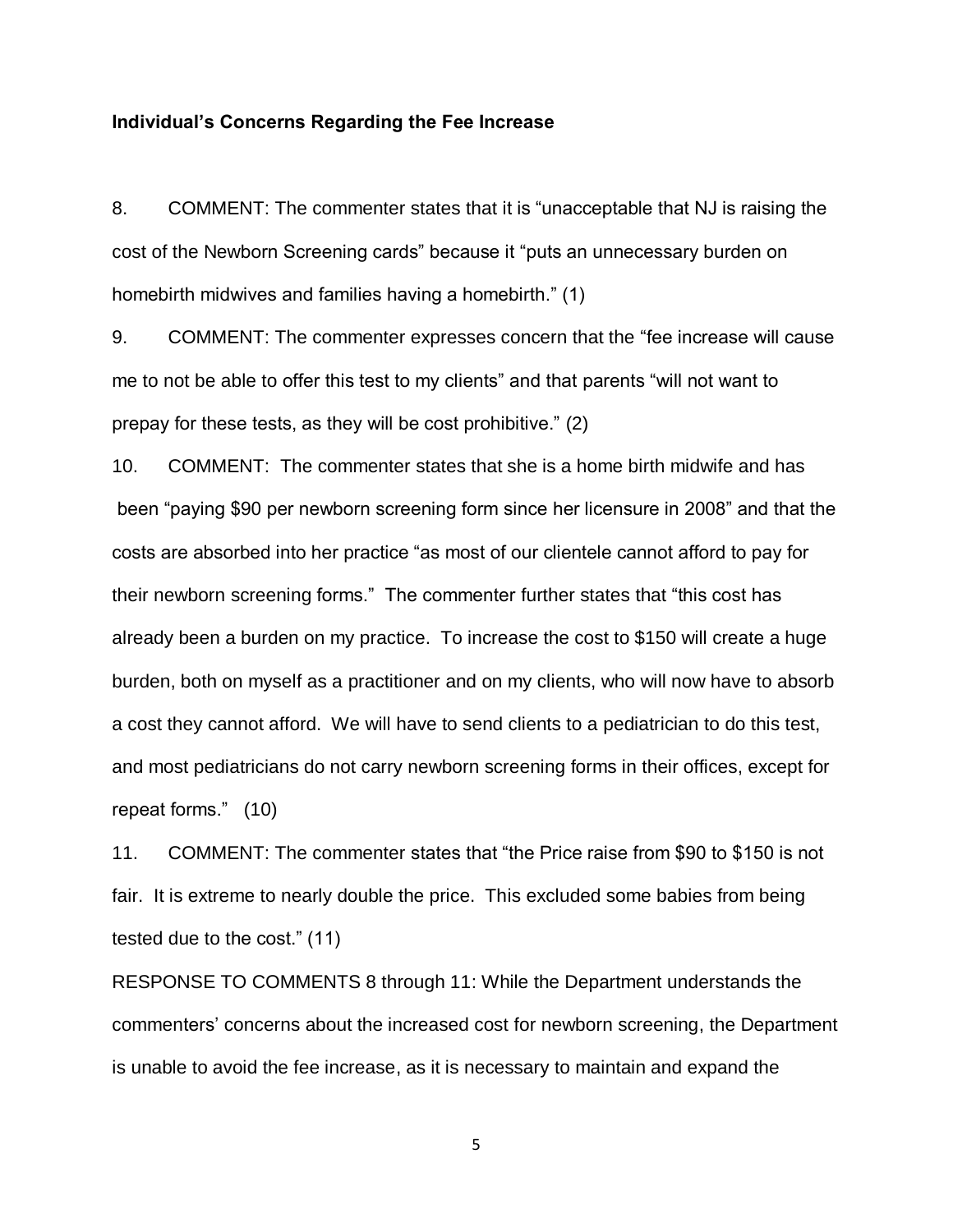### **Individual's Concerns Regarding the Fee Increase**

8. COMMENT: The commenter states that it is "unacceptable that NJ is raising the cost of the Newborn Screening cards" because it "puts an unnecessary burden on homebirth midwives and families having a homebirth." (1)

9. COMMENT: The commenter expresses concern that the "fee increase will cause me to not be able to offer this test to my clients" and that parents "will not want to prepay for these tests, as they will be cost prohibitive." (2)

10. COMMENT: The commenter states that she is a home birth midwife and has been "paying \$90 per newborn screening form since her licensure in 2008" and that the costs are absorbed into her practice "as most of our clientele cannot afford to pay for their newborn screening forms." The commenter further states that "this cost has already been a burden on my practice. To increase the cost to \$150 will create a huge burden, both on myself as a practitioner and on my clients, who will now have to absorb a cost they cannot afford. We will have to send clients to a pediatrician to do this test, and most pediatricians do not carry newborn screening forms in their offices, except for repeat forms." (10)

11. COMMENT: The commenter states that "the Price raise from \$90 to \$150 is not fair. It is extreme to nearly double the price. This excluded some babies from being tested due to the cost." (11)

RESPONSE TO COMMENTS 8 through 11: While the Department understands the commenters' concerns about the increased cost for newborn screening, the Department is unable to avoid the fee increase, as it is necessary to maintain and expand the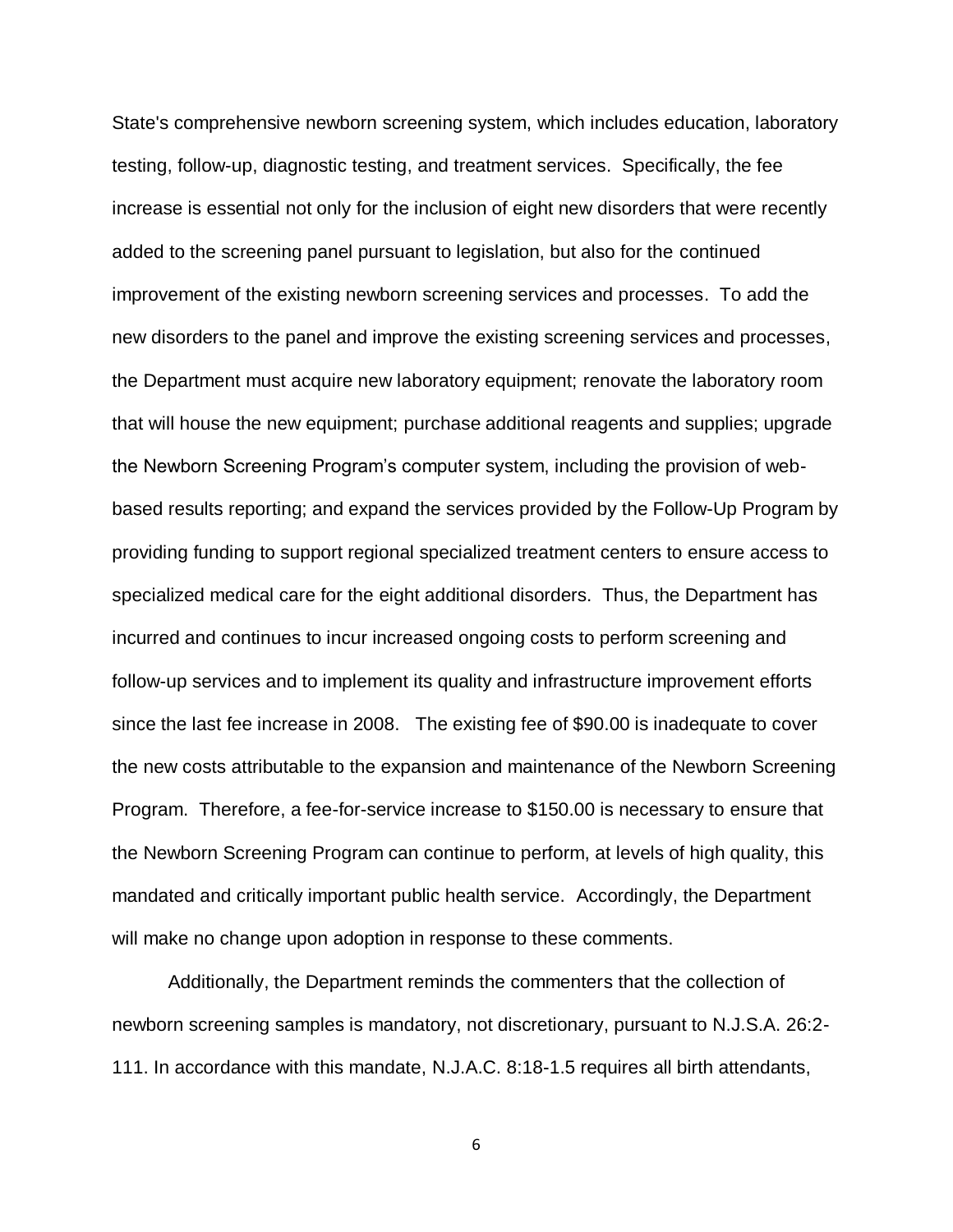State's comprehensive newborn screening system, which includes education, laboratory testing, follow-up, diagnostic testing, and treatment services. Specifically, the fee increase is essential not only for the inclusion of eight new disorders that were recently added to the screening panel pursuant to legislation, but also for the continued improvement of the existing newborn screening services and processes. To add the new disorders to the panel and improve the existing screening services and processes, the Department must acquire new laboratory equipment; renovate the laboratory room that will house the new equipment; purchase additional reagents and supplies; upgrade the Newborn Screening Program's computer system, including the provision of webbased results reporting; and expand the services provided by the Follow-Up Program by providing funding to support regional specialized treatment centers to ensure access to specialized medical care for the eight additional disorders. Thus, the Department has incurred and continues to incur increased ongoing costs to perform screening and follow-up services and to implement its quality and infrastructure improvement efforts since the last fee increase in 2008. The existing fee of \$90.00 is inadequate to cover the new costs attributable to the expansion and maintenance of the Newborn Screening Program. Therefore, a fee-for-service increase to \$150.00 is necessary to ensure that the Newborn Screening Program can continue to perform, at levels of high quality, this mandated and critically important public health service. Accordingly, the Department will make no change upon adoption in response to these comments.

Additionally, the Department reminds the commenters that the collection of newborn screening samples is mandatory, not discretionary, pursuant to N.J.S.A. 26:2- 111. In accordance with this mandate, N.J.A.C. 8:18-1.5 requires all birth attendants,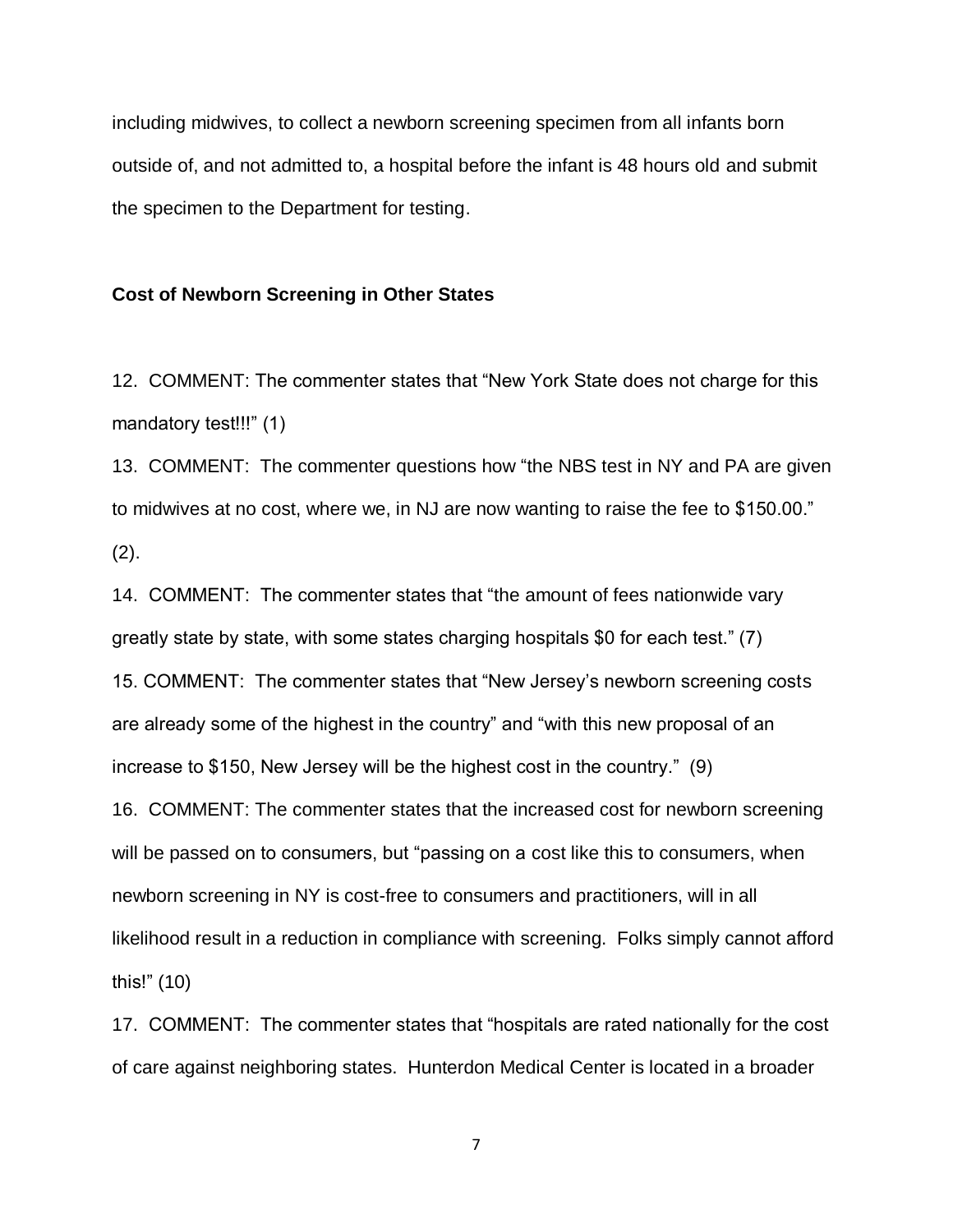including midwives, to collect a newborn screening specimen from all infants born outside of, and not admitted to, a hospital before the infant is 48 hours old and submit the specimen to the Department for testing.

#### **Cost of Newborn Screening in Other States**

12. COMMENT: The commenter states that "New York State does not charge for this mandatory test!!!" (1)

13. COMMENT: The commenter questions how "the NBS test in NY and PA are given to midwives at no cost, where we, in NJ are now wanting to raise the fee to \$150.00."  $(2).$ 

14. COMMENT: The commenter states that "the amount of fees nationwide vary greatly state by state, with some states charging hospitals \$0 for each test." (7) 15. COMMENT: The commenter states that "New Jersey's newborn screening costs are already some of the highest in the country" and "with this new proposal of an increase to \$150, New Jersey will be the highest cost in the country." (9)

16. COMMENT: The commenter states that the increased cost for newborn screening will be passed on to consumers, but "passing on a cost like this to consumers, when newborn screening in NY is cost-free to consumers and practitioners, will in all likelihood result in a reduction in compliance with screening. Folks simply cannot afford this!" (10)

17. COMMENT: The commenter states that "hospitals are rated nationally for the cost of care against neighboring states. Hunterdon Medical Center is located in a broader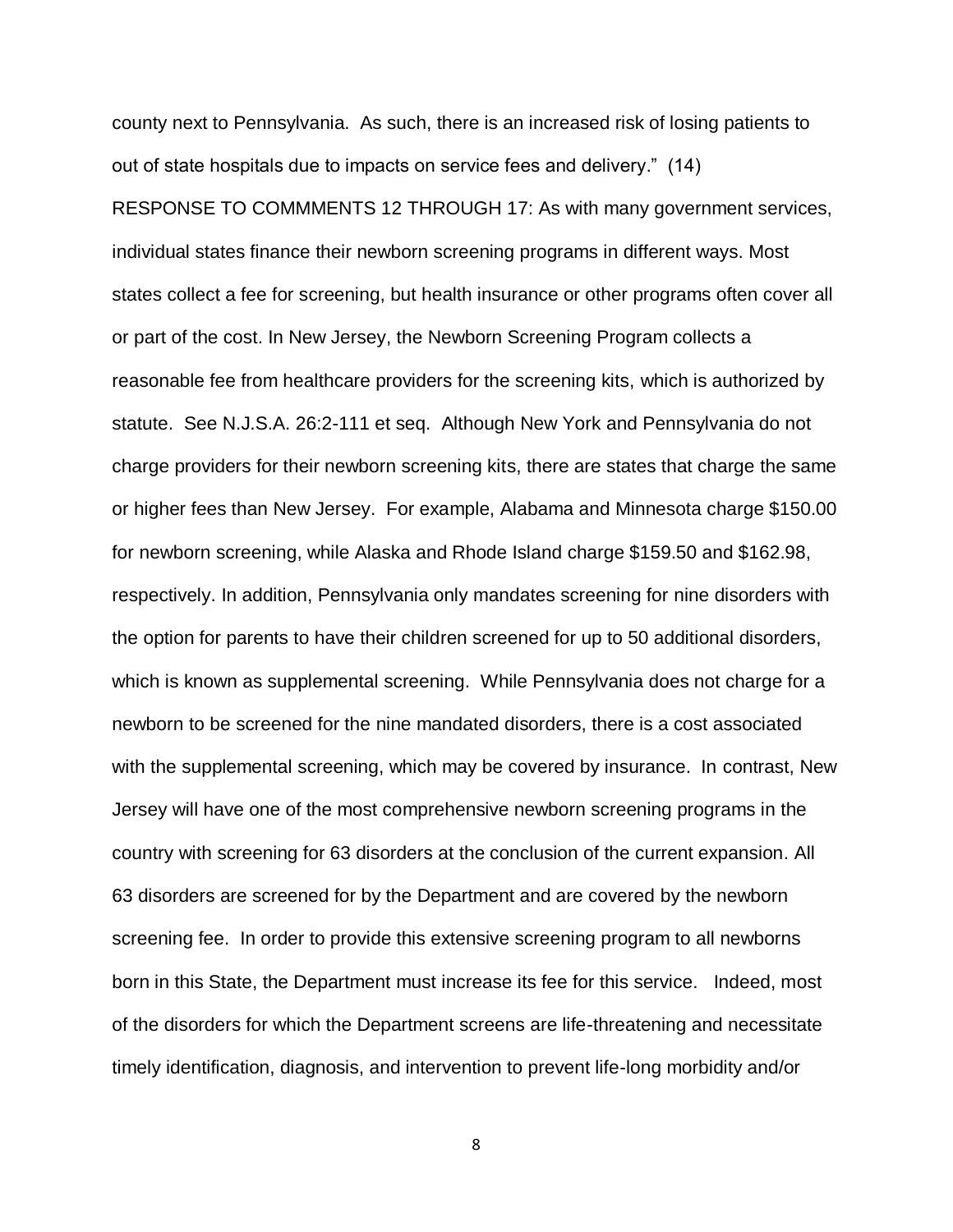county next to Pennsylvania. As such, there is an increased risk of losing patients to out of state hospitals due to impacts on service fees and delivery." (14) RESPONSE TO COMMMENTS 12 THROUGH 17: As with many government services, individual states finance their newborn screening programs in different ways. Most states collect a fee for screening, but health insurance or other programs often cover all or part of the cost. In New Jersey, the Newborn Screening Program collects a reasonable fee from healthcare providers for the screening kits, which is authorized by statute. See N.J.S.A. 26:2-111 et seq. Although New York and Pennsylvania do not charge providers for their newborn screening kits, there are states that charge the same or higher fees than New Jersey. For example, Alabama and Minnesota charge \$150.00 for newborn screening, while Alaska and Rhode Island charge \$159.50 and \$162.98, respectively. In addition, Pennsylvania only mandates screening for nine disorders with the option for parents to have their children screened for up to 50 additional disorders, which is known as supplemental screening. While Pennsylvania does not charge for a newborn to be screened for the nine mandated disorders, there is a cost associated with the supplemental screening, which may be covered by insurance. In contrast, New Jersey will have one of the most comprehensive newborn screening programs in the country with screening for 63 disorders at the conclusion of the current expansion. All 63 disorders are screened for by the Department and are covered by the newborn screening fee. In order to provide this extensive screening program to all newborns born in this State, the Department must increase its fee for this service. Indeed, most of the disorders for which the Department screens are life-threatening and necessitate timely identification, diagnosis, and intervention to prevent life-long morbidity and/or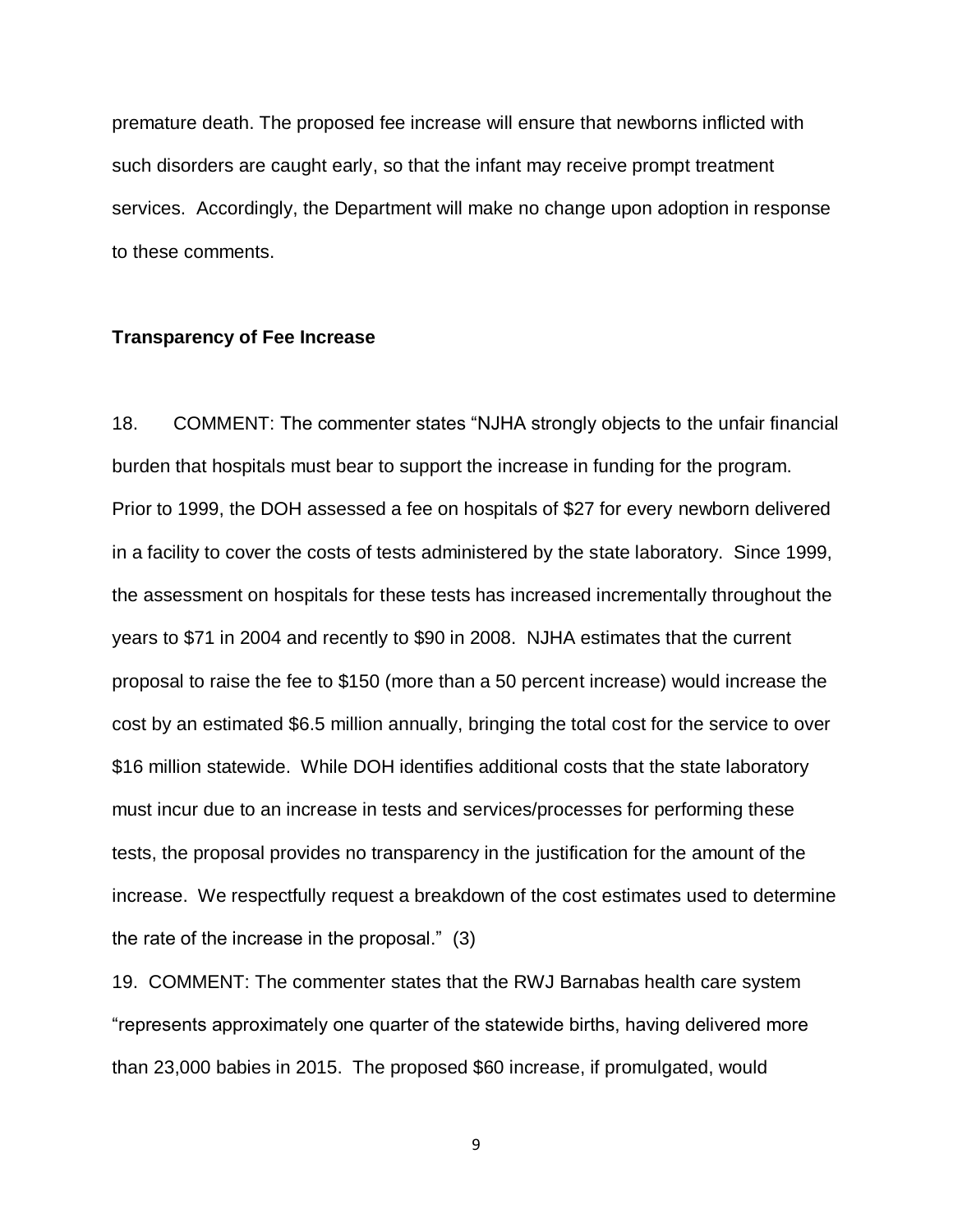premature death. The proposed fee increase will ensure that newborns inflicted with such disorders are caught early, so that the infant may receive prompt treatment services. Accordingly, the Department will make no change upon adoption in response to these comments.

#### **Transparency of Fee Increase**

18. COMMENT: The commenter states "NJHA strongly objects to the unfair financial burden that hospitals must bear to support the increase in funding for the program. Prior to 1999, the DOH assessed a fee on hospitals of \$27 for every newborn delivered in a facility to cover the costs of tests administered by the state laboratory. Since 1999, the assessment on hospitals for these tests has increased incrementally throughout the years to \$71 in 2004 and recently to \$90 in 2008. NJHA estimates that the current proposal to raise the fee to \$150 (more than a 50 percent increase) would increase the cost by an estimated \$6.5 million annually, bringing the total cost for the service to over \$16 million statewide. While DOH identifies additional costs that the state laboratory must incur due to an increase in tests and services/processes for performing these tests, the proposal provides no transparency in the justification for the amount of the increase. We respectfully request a breakdown of the cost estimates used to determine the rate of the increase in the proposal." (3)

19. COMMENT: The commenter states that the RWJ Barnabas health care system "represents approximately one quarter of the statewide births, having delivered more than 23,000 babies in 2015. The proposed \$60 increase, if promulgated, would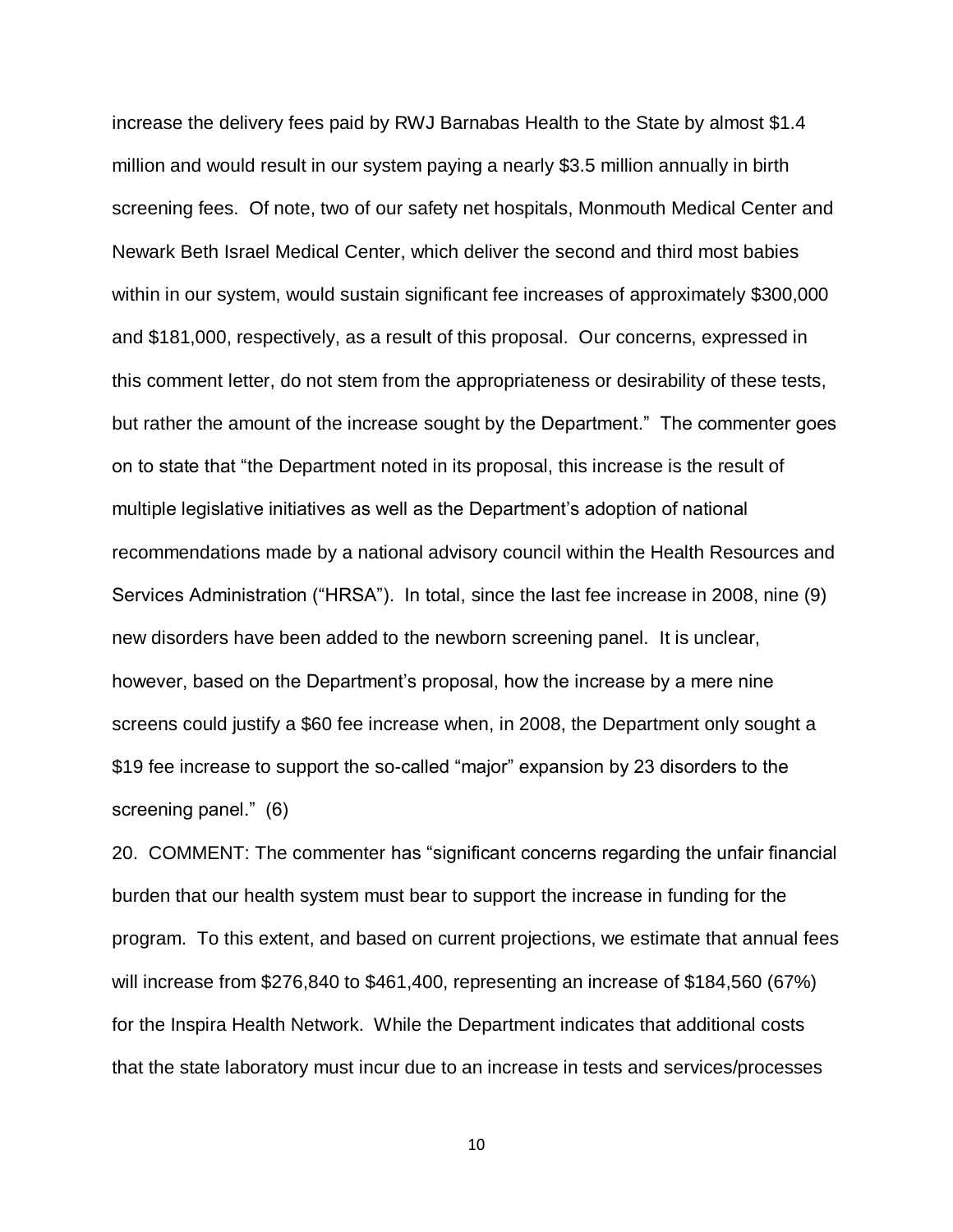increase the delivery fees paid by RWJ Barnabas Health to the State by almost \$1.4 million and would result in our system paying a nearly \$3.5 million annually in birth screening fees. Of note, two of our safety net hospitals, Monmouth Medical Center and Newark Beth Israel Medical Center, which deliver the second and third most babies within in our system, would sustain significant fee increases of approximately \$300,000 and \$181,000, respectively, as a result of this proposal. Our concerns, expressed in this comment letter, do not stem from the appropriateness or desirability of these tests, but rather the amount of the increase sought by the Department." The commenter goes on to state that "the Department noted in its proposal, this increase is the result of multiple legislative initiatives as well as the Department's adoption of national recommendations made by a national advisory council within the Health Resources and Services Administration ("HRSA"). In total, since the last fee increase in 2008, nine (9) new disorders have been added to the newborn screening panel. It is unclear, however, based on the Department's proposal, how the increase by a mere nine screens could justify a \$60 fee increase when, in 2008, the Department only sought a \$19 fee increase to support the so-called "major" expansion by 23 disorders to the screening panel." (6)

20. COMMENT: The commenter has "significant concerns regarding the unfair financial burden that our health system must bear to support the increase in funding for the program. To this extent, and based on current projections, we estimate that annual fees will increase from \$276,840 to \$461,400, representing an increase of \$184,560 (67%) for the Inspira Health Network. While the Department indicates that additional costs that the state laboratory must incur due to an increase in tests and services/processes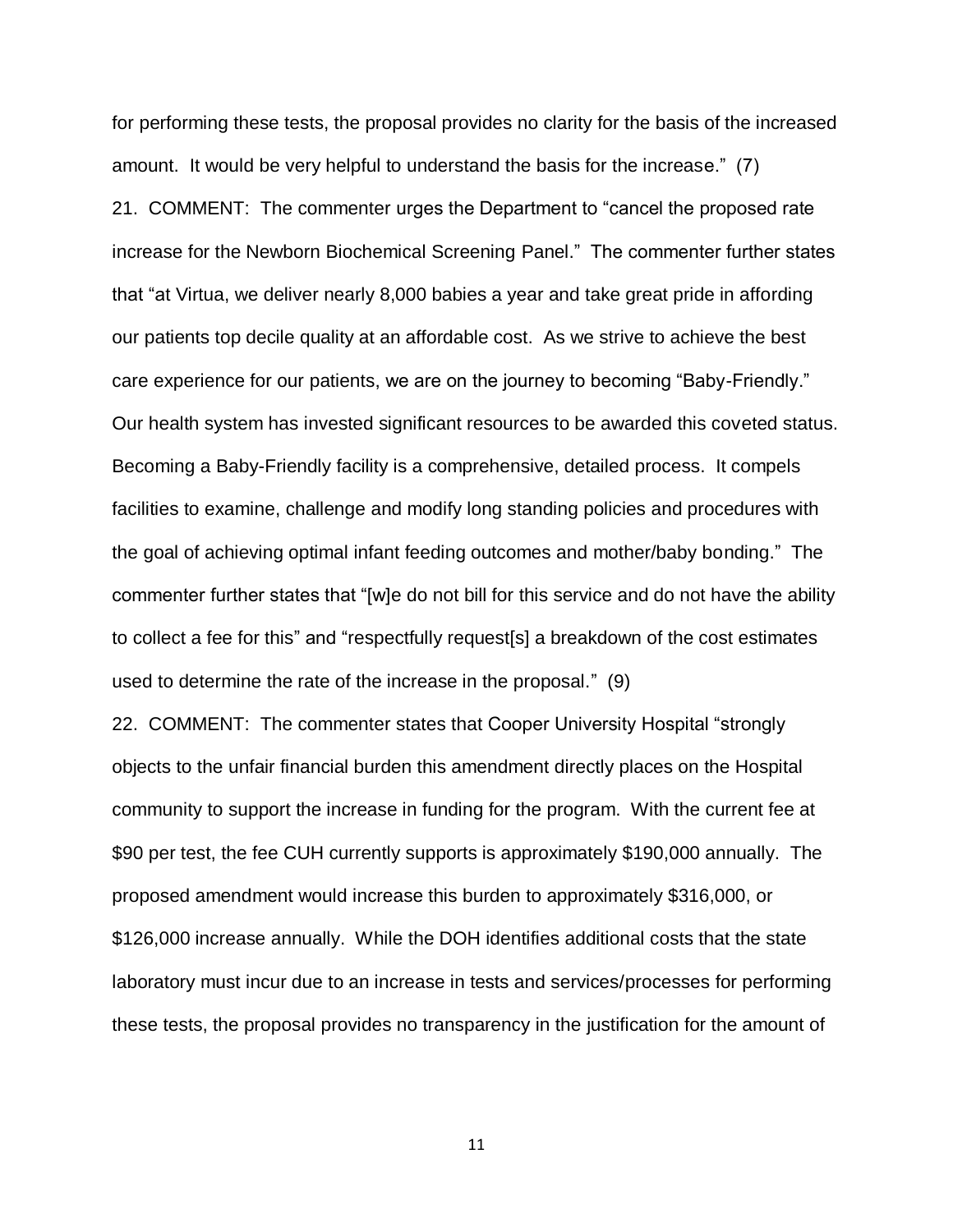for performing these tests, the proposal provides no clarity for the basis of the increased amount. It would be very helpful to understand the basis for the increase." (7) 21. COMMENT: The commenter urges the Department to "cancel the proposed rate increase for the Newborn Biochemical Screening Panel." The commenter further states that "at Virtua, we deliver nearly 8,000 babies a year and take great pride in affording our patients top decile quality at an affordable cost. As we strive to achieve the best care experience for our patients, we are on the journey to becoming "Baby-Friendly." Our health system has invested significant resources to be awarded this coveted status. Becoming a Baby-Friendly facility is a comprehensive, detailed process. It compels facilities to examine, challenge and modify long standing policies and procedures with the goal of achieving optimal infant feeding outcomes and mother/baby bonding." The commenter further states that "[w]e do not bill for this service and do not have the ability to collect a fee for this" and "respectfully request[s] a breakdown of the cost estimates used to determine the rate of the increase in the proposal." (9)

22. COMMENT: The commenter states that Cooper University Hospital "strongly objects to the unfair financial burden this amendment directly places on the Hospital community to support the increase in funding for the program. With the current fee at \$90 per test, the fee CUH currently supports is approximately \$190,000 annually. The proposed amendment would increase this burden to approximately \$316,000, or \$126,000 increase annually. While the DOH identifies additional costs that the state laboratory must incur due to an increase in tests and services/processes for performing these tests, the proposal provides no transparency in the justification for the amount of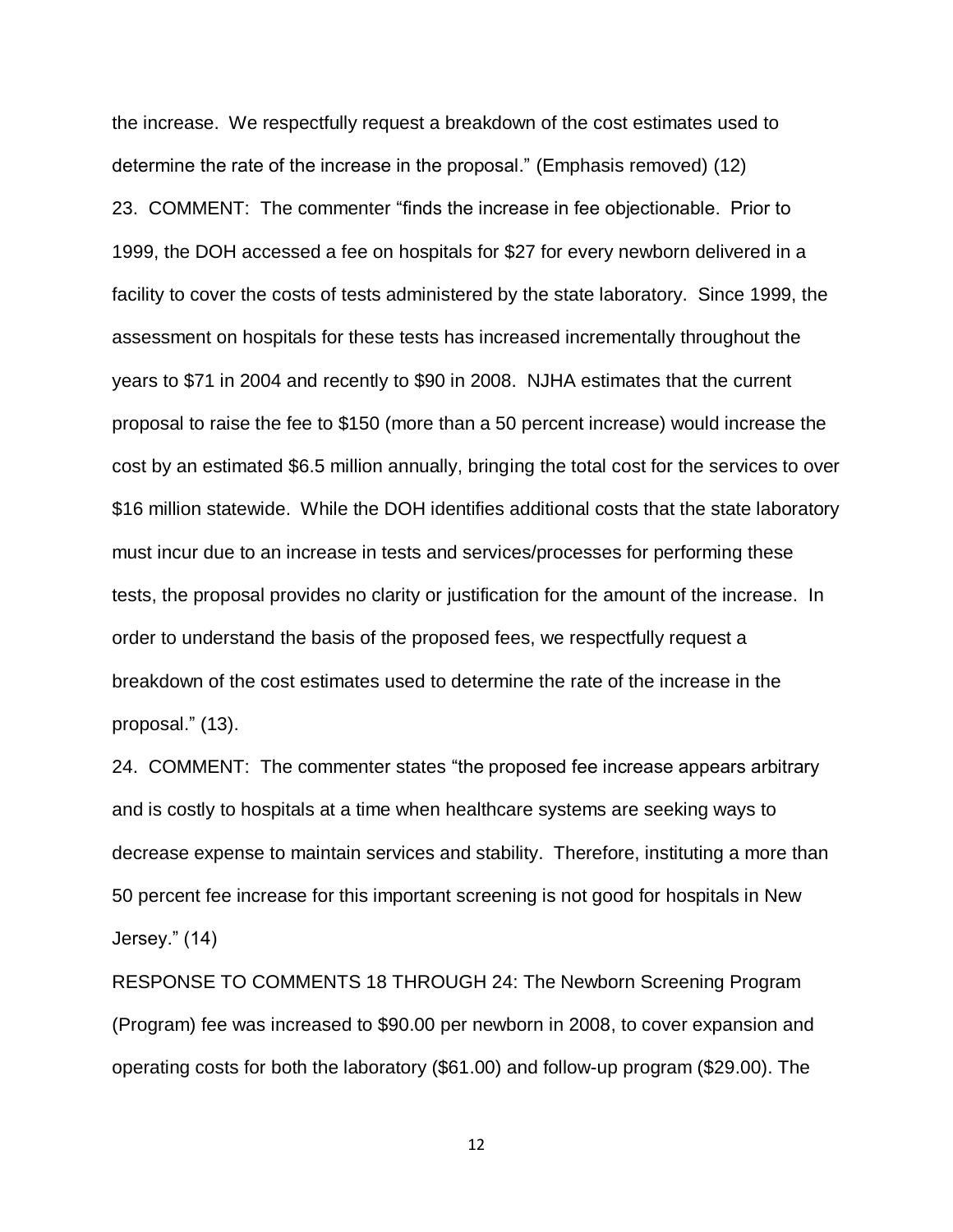the increase. We respectfully request a breakdown of the cost estimates used to determine the rate of the increase in the proposal." (Emphasis removed) (12) 23. COMMENT: The commenter "finds the increase in fee objectionable. Prior to 1999, the DOH accessed a fee on hospitals for \$27 for every newborn delivered in a facility to cover the costs of tests administered by the state laboratory. Since 1999, the assessment on hospitals for these tests has increased incrementally throughout the years to \$71 in 2004 and recently to \$90 in 2008. NJHA estimates that the current proposal to raise the fee to \$150 (more than a 50 percent increase) would increase the cost by an estimated \$6.5 million annually, bringing the total cost for the services to over \$16 million statewide. While the DOH identifies additional costs that the state laboratory must incur due to an increase in tests and services/processes for performing these tests, the proposal provides no clarity or justification for the amount of the increase. In order to understand the basis of the proposed fees, we respectfully request a breakdown of the cost estimates used to determine the rate of the increase in the proposal." (13).

24. COMMENT: The commenter states "the proposed fee increase appears arbitrary and is costly to hospitals at a time when healthcare systems are seeking ways to decrease expense to maintain services and stability. Therefore, instituting a more than 50 percent fee increase for this important screening is not good for hospitals in New Jersey." (14)

RESPONSE TO COMMENTS 18 THROUGH 24: The Newborn Screening Program (Program) fee was increased to \$90.00 per newborn in 2008, to cover expansion and operating costs for both the laboratory (\$61.00) and follow-up program (\$29.00). The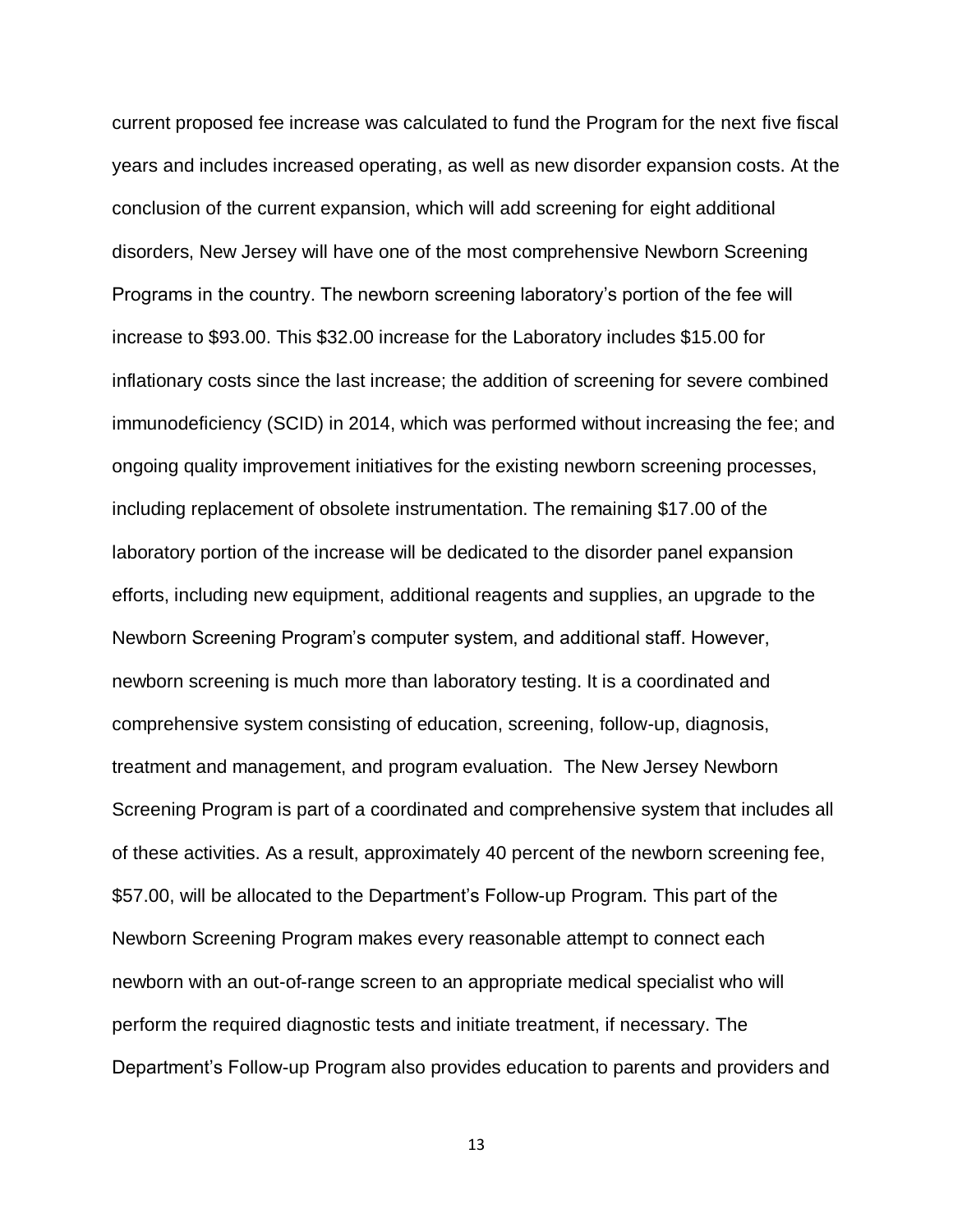current proposed fee increase was calculated to fund the Program for the next five fiscal years and includes increased operating, as well as new disorder expansion costs. At the conclusion of the current expansion, which will add screening for eight additional disorders, New Jersey will have one of the most comprehensive Newborn Screening Programs in the country. The newborn screening laboratory's portion of the fee will increase to \$93.00. This \$32.00 increase for the Laboratory includes \$15.00 for inflationary costs since the last increase; the addition of screening for severe combined immunodeficiency (SCID) in 2014, which was performed without increasing the fee; and ongoing quality improvement initiatives for the existing newborn screening processes, including replacement of obsolete instrumentation. The remaining \$17.00 of the laboratory portion of the increase will be dedicated to the disorder panel expansion efforts, including new equipment, additional reagents and supplies, an upgrade to the Newborn Screening Program's computer system, and additional staff. However, newborn screening is much more than laboratory testing. It is a coordinated and comprehensive system consisting of education, screening, follow-up, diagnosis, treatment and management, and program evaluation. The New Jersey Newborn Screening Program is part of a coordinated and comprehensive system that includes all of these activities. As a result, approximately 40 percent of the newborn screening fee, \$57.00, will be allocated to the Department's Follow-up Program. This part of the Newborn Screening Program makes every reasonable attempt to connect each newborn with an out-of-range screen to an appropriate medical specialist who will perform the required diagnostic tests and initiate treatment, if necessary. The Department's Follow-up Program also provides education to parents and providers and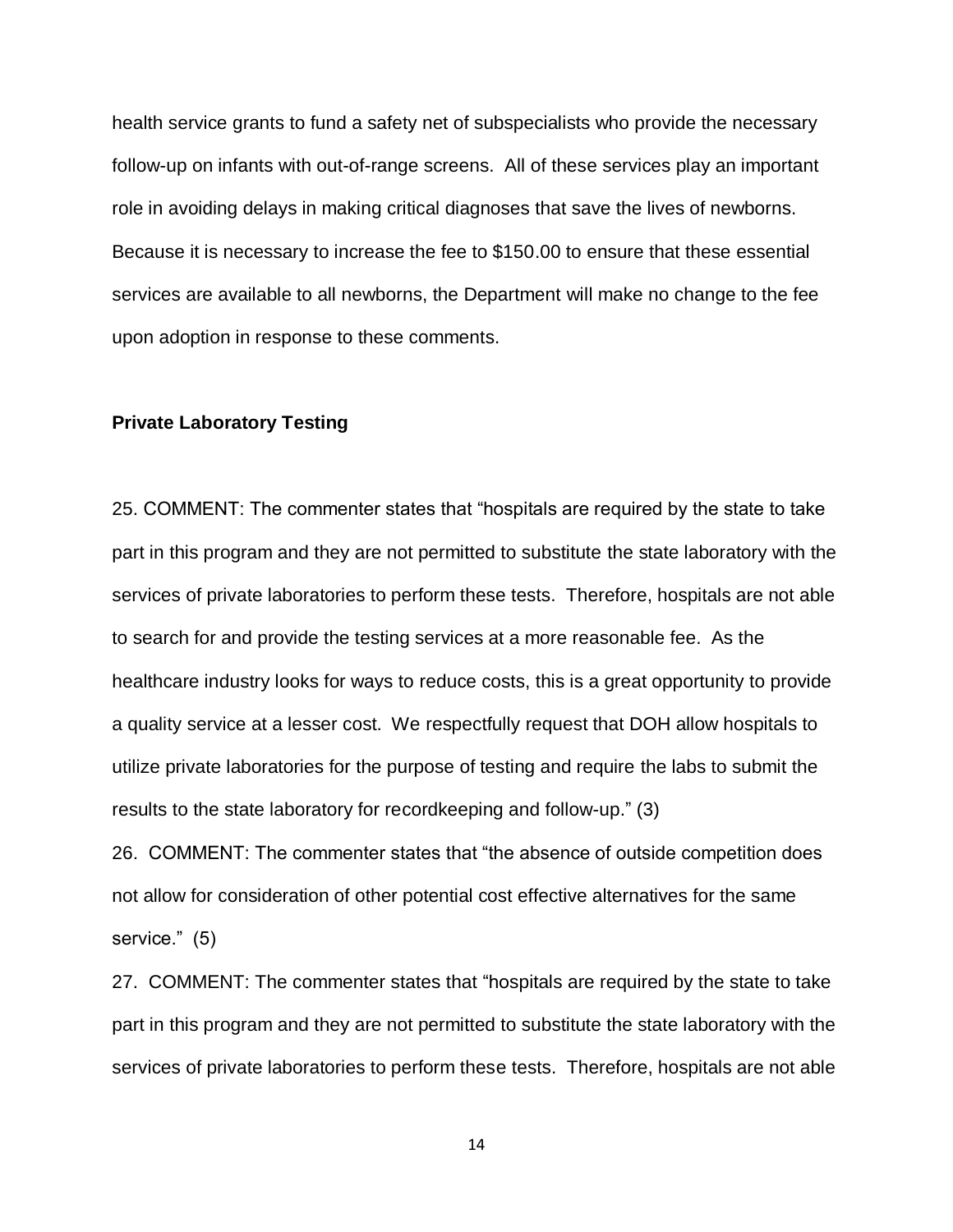health service grants to fund a safety net of subspecialists who provide the necessary follow-up on infants with out-of-range screens. All of these services play an important role in avoiding delays in making critical diagnoses that save the lives of newborns. Because it is necessary to increase the fee to \$150.00 to ensure that these essential services are available to all newborns, the Department will make no change to the fee upon adoption in response to these comments.

### **Private Laboratory Testing**

25. COMMENT: The commenter states that "hospitals are required by the state to take part in this program and they are not permitted to substitute the state laboratory with the services of private laboratories to perform these tests. Therefore, hospitals are not able to search for and provide the testing services at a more reasonable fee. As the healthcare industry looks for ways to reduce costs, this is a great opportunity to provide a quality service at a lesser cost. We respectfully request that DOH allow hospitals to utilize private laboratories for the purpose of testing and require the labs to submit the results to the state laboratory for recordkeeping and follow-up." (3)

26. COMMENT: The commenter states that "the absence of outside competition does not allow for consideration of other potential cost effective alternatives for the same service." (5)

27. COMMENT: The commenter states that "hospitals are required by the state to take part in this program and they are not permitted to substitute the state laboratory with the services of private laboratories to perform these tests. Therefore, hospitals are not able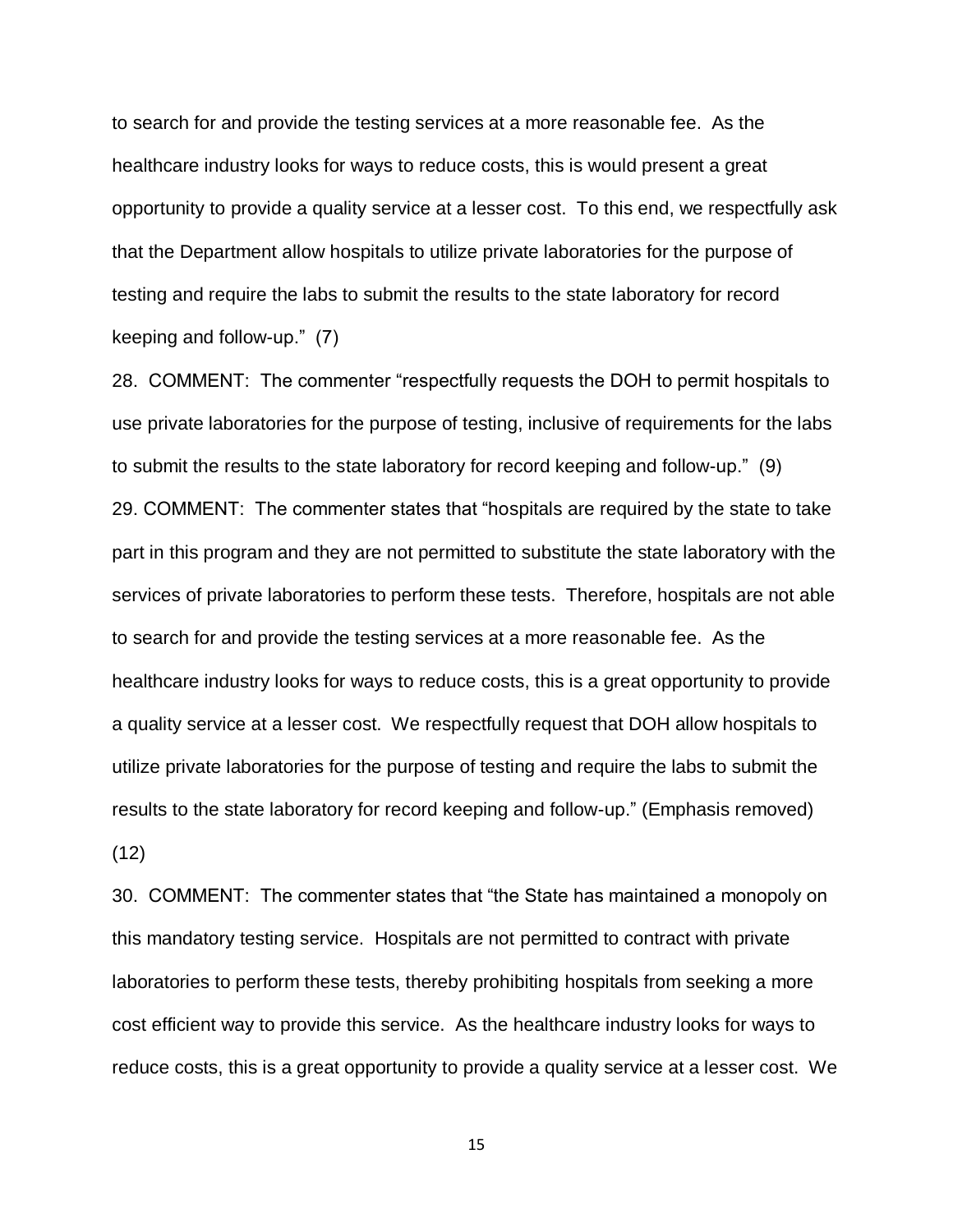to search for and provide the testing services at a more reasonable fee. As the healthcare industry looks for ways to reduce costs, this is would present a great opportunity to provide a quality service at a lesser cost. To this end, we respectfully ask that the Department allow hospitals to utilize private laboratories for the purpose of testing and require the labs to submit the results to the state laboratory for record keeping and follow-up." (7)

28. COMMENT: The commenter "respectfully requests the DOH to permit hospitals to use private laboratories for the purpose of testing, inclusive of requirements for the labs to submit the results to the state laboratory for record keeping and follow-up." (9) 29. COMMENT: The commenter states that "hospitals are required by the state to take part in this program and they are not permitted to substitute the state laboratory with the services of private laboratories to perform these tests. Therefore, hospitals are not able to search for and provide the testing services at a more reasonable fee. As the healthcare industry looks for ways to reduce costs, this is a great opportunity to provide a quality service at a lesser cost. We respectfully request that DOH allow hospitals to utilize private laboratories for the purpose of testing and require the labs to submit the results to the state laboratory for record keeping and follow-up." (Emphasis removed) (12)

30. COMMENT: The commenter states that "the State has maintained a monopoly on this mandatory testing service. Hospitals are not permitted to contract with private laboratories to perform these tests, thereby prohibiting hospitals from seeking a more cost efficient way to provide this service. As the healthcare industry looks for ways to reduce costs, this is a great opportunity to provide a quality service at a lesser cost. We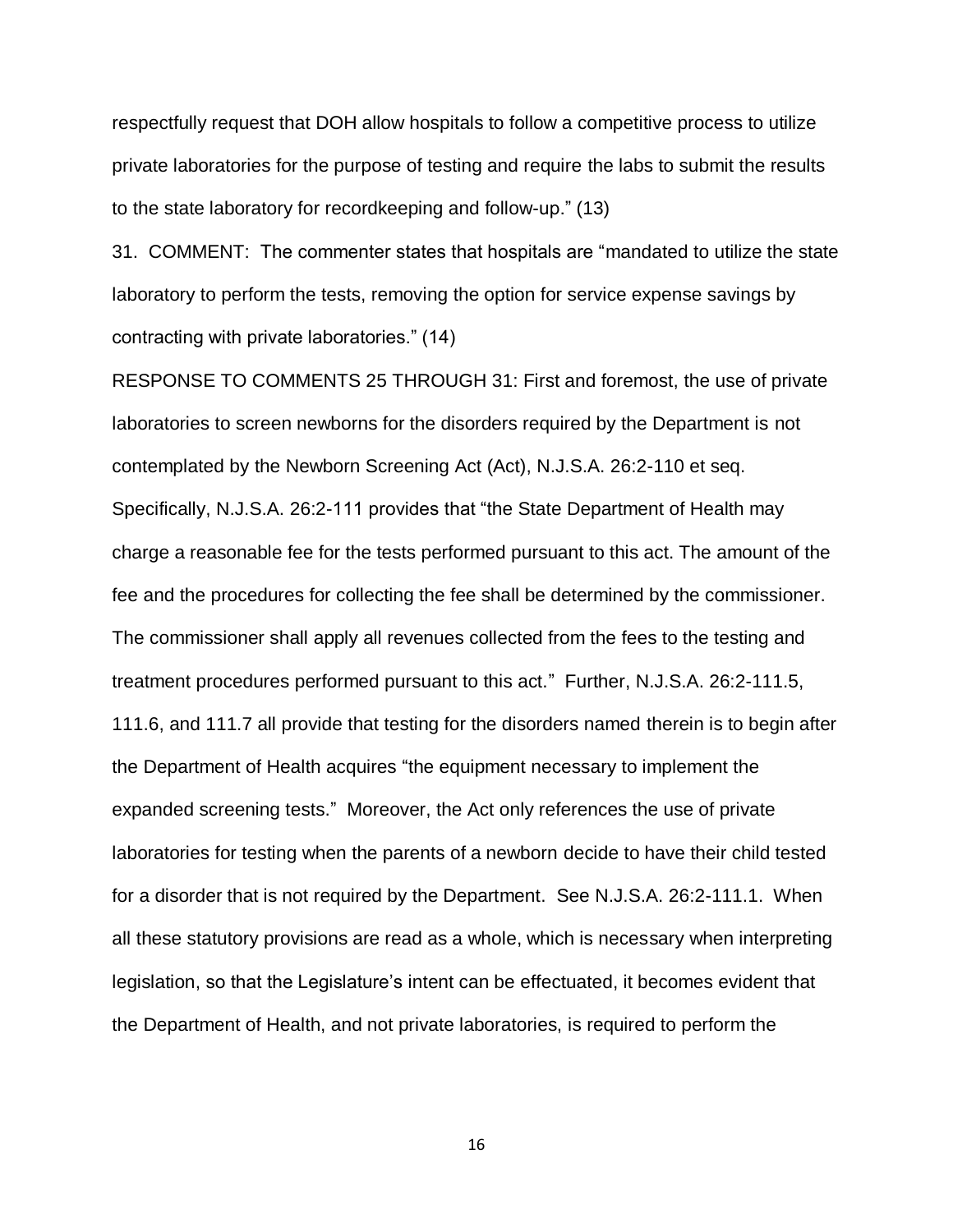respectfully request that DOH allow hospitals to follow a competitive process to utilize private laboratories for the purpose of testing and require the labs to submit the results to the state laboratory for recordkeeping and follow-up." (13)

31. COMMENT: The commenter states that hospitals are "mandated to utilize the state laboratory to perform the tests, removing the option for service expense savings by contracting with private laboratories." (14)

RESPONSE TO COMMENTS 25 THROUGH 31: First and foremost, the use of private laboratories to screen newborns for the disorders required by the Department is not contemplated by the Newborn Screening Act (Act), N.J.S.A. 26:2-110 et seq. Specifically, N.J.S.A. 26:2-111 provides that "the State Department of Health may charge a reasonable fee for the tests performed pursuant to this act. The amount of the fee and the procedures for collecting the fee shall be determined by the commissioner. The commissioner shall apply all revenues collected from the fees to the testing and treatment procedures performed pursuant to this act." Further, N.J.S.A. 26:2-111.5, 111.6, and 111.7 all provide that testing for the disorders named therein is to begin after the Department of Health acquires "the equipment necessary to implement the expanded screening tests." Moreover, the Act only references the use of private laboratories for testing when the parents of a newborn decide to have their child tested for a disorder that is not required by the Department. See N.J.S.A. 26:2-111.1. When all these statutory provisions are read as a whole, which is necessary when interpreting legislation, so that the Legislature's intent can be effectuated, it becomes evident that the Department of Health, and not private laboratories, is required to perform the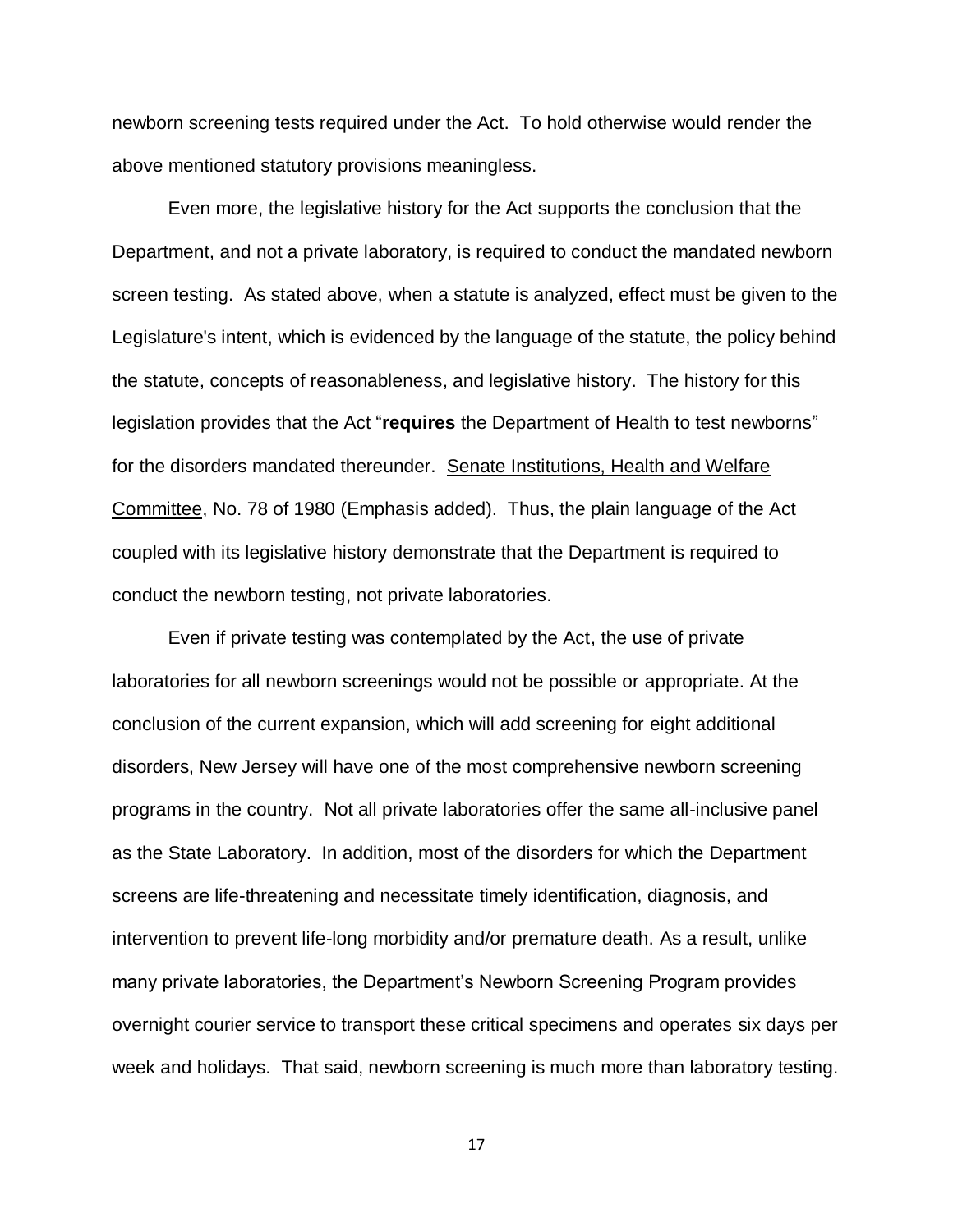newborn screening tests required under the Act. To hold otherwise would render the above mentioned statutory provisions meaningless.

Even more, the legislative history for the Act supports the conclusion that the Department, and not a private laboratory, is required to conduct the mandated newborn screen testing. As stated above, when a statute is analyzed, effect must be given to the Legislature's intent, which is evidenced by the language of the statute, the policy behind the statute, concepts of reasonableness, and legislative history. The history for this legislation provides that the Act "**requires** the Department of Health to test newborns" for the disorders mandated thereunder. Senate Institutions, Health and Welfare Committee, No. 78 of 1980 (Emphasis added). Thus, the plain language of the Act coupled with its legislative history demonstrate that the Department is required to conduct the newborn testing, not private laboratories.

Even if private testing was contemplated by the Act, the use of private laboratories for all newborn screenings would not be possible or appropriate. At the conclusion of the current expansion, which will add screening for eight additional disorders, New Jersey will have one of the most comprehensive newborn screening programs in the country. Not all private laboratories offer the same all-inclusive panel as the State Laboratory. In addition, most of the disorders for which the Department screens are life-threatening and necessitate timely identification, diagnosis, and intervention to prevent life-long morbidity and/or premature death. As a result, unlike many private laboratories, the Department's Newborn Screening Program provides overnight courier service to transport these critical specimens and operates six days per week and holidays. That said, newborn screening is much more than laboratory testing.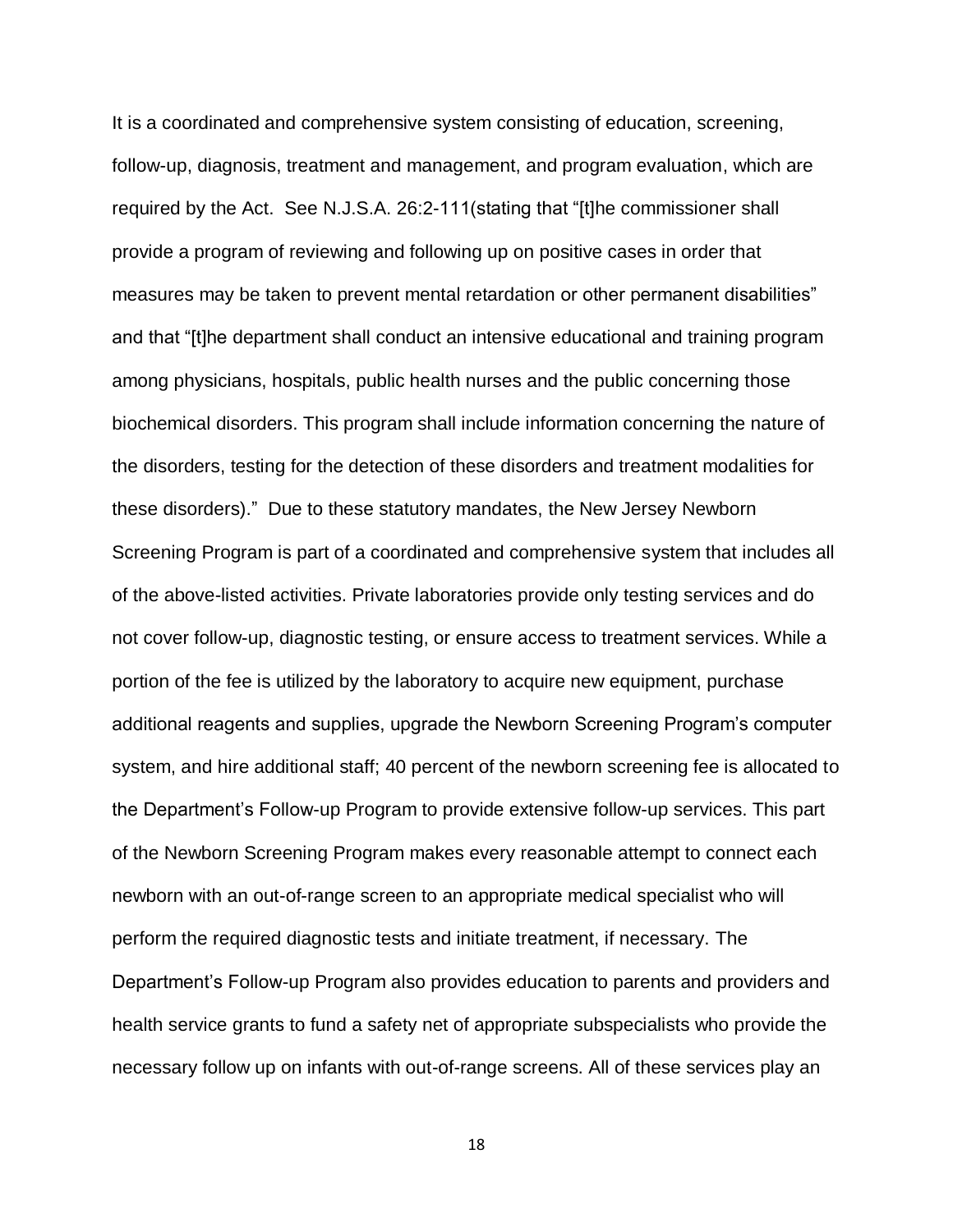It is a coordinated and comprehensive system consisting of education, screening, follow-up, diagnosis, treatment and management, and program evaluation, which are required by the Act. See N.J.S.A. 26:2-111(stating that "[t]he commissioner shall provide a program of reviewing and following up on positive cases in order that measures may be taken to prevent mental retardation or other permanent disabilities" and that "[t]he department shall conduct an intensive educational and training program among physicians, hospitals, public health nurses and the public concerning those biochemical disorders. This program shall include information concerning the nature of the disorders, testing for the detection of these disorders and treatment modalities for these disorders)." Due to these statutory mandates, the New Jersey Newborn Screening Program is part of a coordinated and comprehensive system that includes all of the above-listed activities. Private laboratories provide only testing services and do not cover follow-up, diagnostic testing, or ensure access to treatment services. While a portion of the fee is utilized by the laboratory to acquire new equipment, purchase additional reagents and supplies, upgrade the Newborn Screening Program's computer system, and hire additional staff; 40 percent of the newborn screening fee is allocated to the Department's Follow-up Program to provide extensive follow-up services. This part of the Newborn Screening Program makes every reasonable attempt to connect each newborn with an out-of-range screen to an appropriate medical specialist who will perform the required diagnostic tests and initiate treatment, if necessary. The Department's Follow-up Program also provides education to parents and providers and health service grants to fund a safety net of appropriate subspecialists who provide the necessary follow up on infants with out-of-range screens. All of these services play an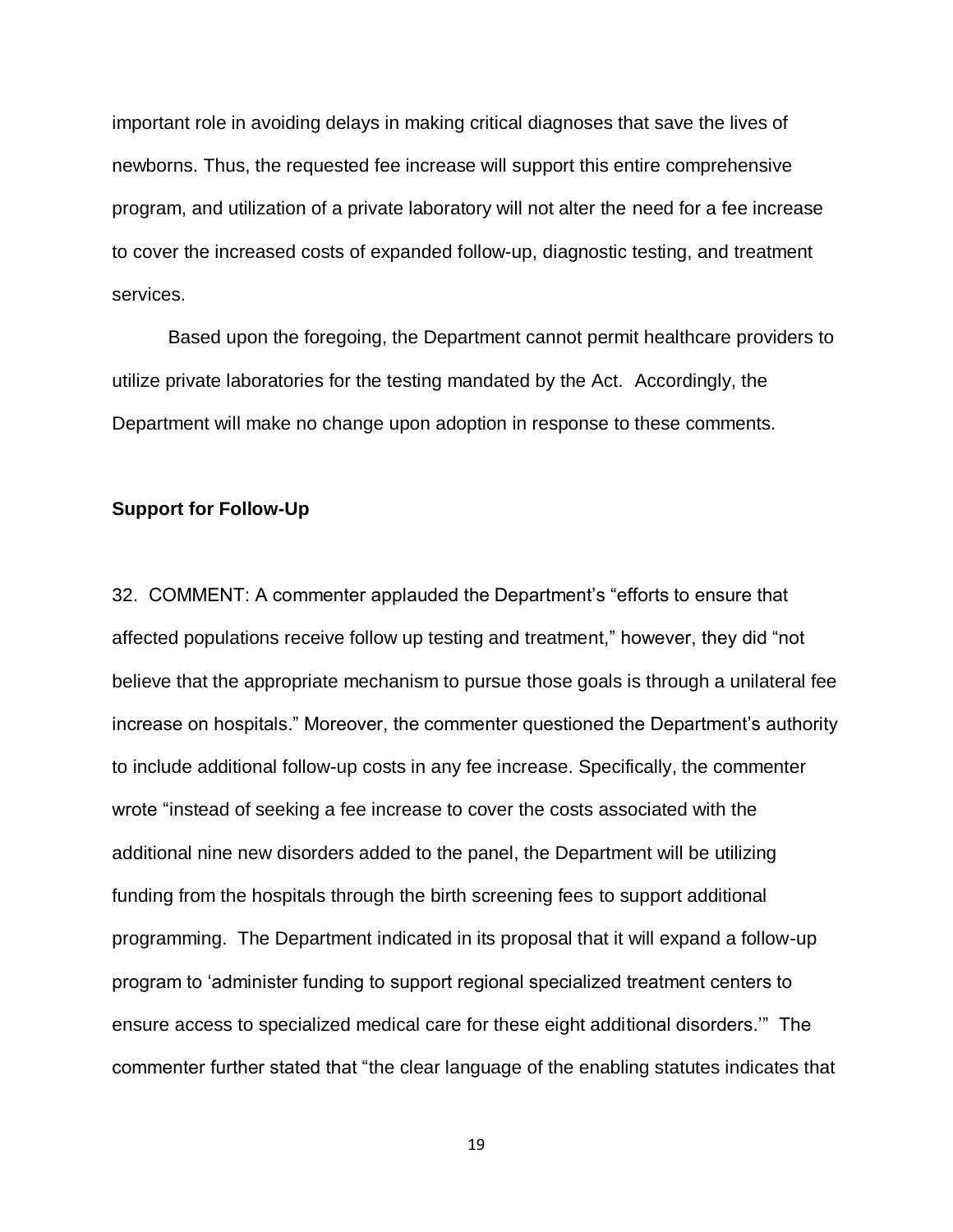important role in avoiding delays in making critical diagnoses that save the lives of newborns. Thus, the requested fee increase will support this entire comprehensive program, and utilization of a private laboratory will not alter the need for a fee increase to cover the increased costs of expanded follow-up, diagnostic testing, and treatment services.

Based upon the foregoing, the Department cannot permit healthcare providers to utilize private laboratories for the testing mandated by the Act. Accordingly, the Department will make no change upon adoption in response to these comments.

### **Support for Follow-Up**

32. COMMENT: A commenter applauded the Department's "efforts to ensure that affected populations receive follow up testing and treatment," however, they did "not believe that the appropriate mechanism to pursue those goals is through a unilateral fee increase on hospitals." Moreover, the commenter questioned the Department's authority to include additional follow-up costs in any fee increase. Specifically, the commenter wrote "instead of seeking a fee increase to cover the costs associated with the additional nine new disorders added to the panel, the Department will be utilizing funding from the hospitals through the birth screening fees to support additional programming. The Department indicated in its proposal that it will expand a follow-up program to 'administer funding to support regional specialized treatment centers to ensure access to specialized medical care for these eight additional disorders.'" The commenter further stated that "the clear language of the enabling statutes indicates that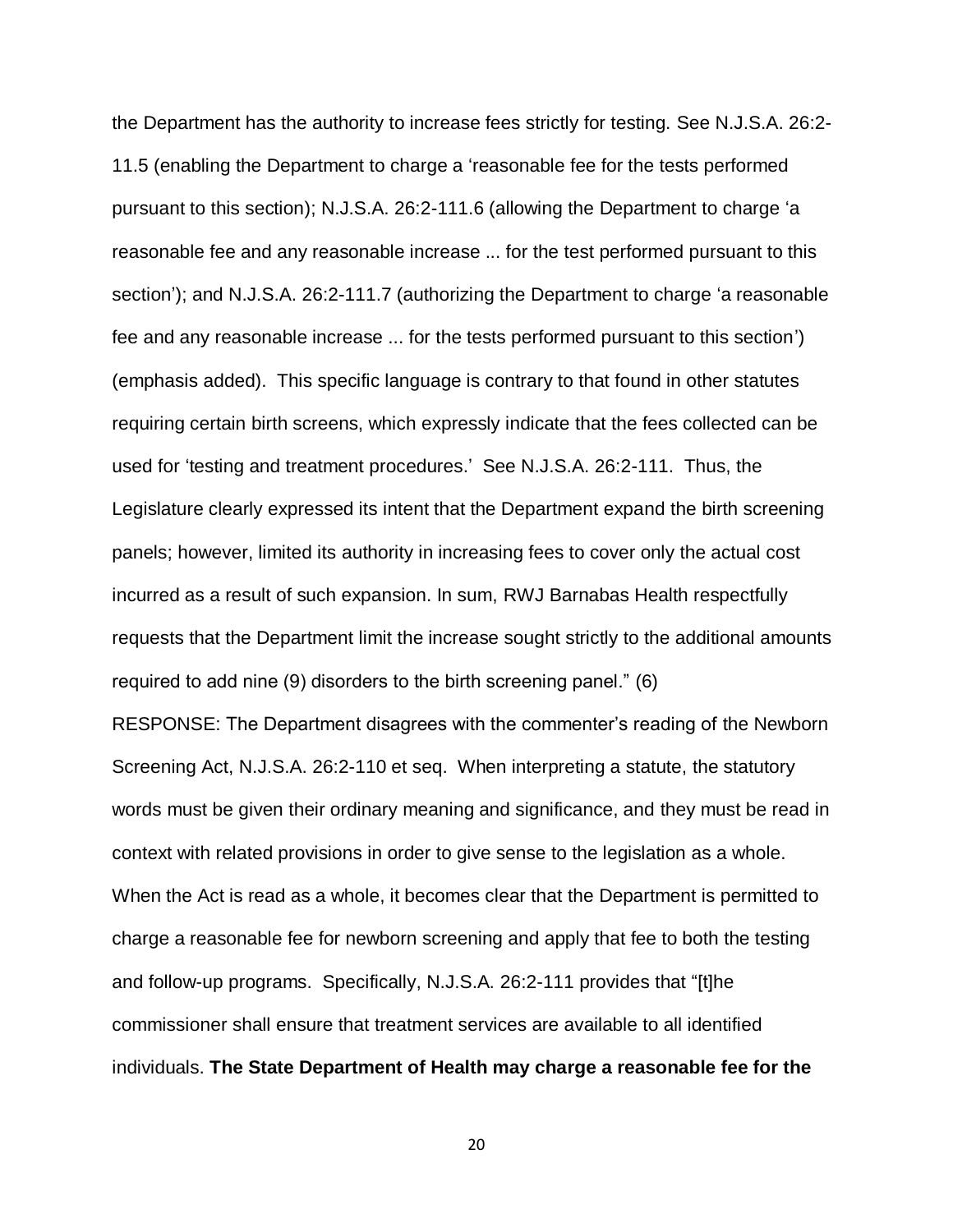the Department has the authority to increase fees strictly for testing. See N.J.S.A. 26:2- 11.5 (enabling the Department to charge a 'reasonable fee for the tests performed pursuant to this section); N.J.S.A. 26:2-111.6 (allowing the Department to charge 'a reasonable fee and any reasonable increase ... for the test performed pursuant to this section'); and N.J.S.A. 26:2-111.7 (authorizing the Department to charge 'a reasonable fee and any reasonable increase ... for the tests performed pursuant to this section') (emphasis added). This specific language is contrary to that found in other statutes requiring certain birth screens, which expressly indicate that the fees collected can be used for 'testing and treatment procedures.' See N.J.S.A. 26:2-111. Thus, the Legislature clearly expressed its intent that the Department expand the birth screening panels; however, limited its authority in increasing fees to cover only the actual cost incurred as a result of such expansion. In sum, RWJ Barnabas Health respectfully requests that the Department limit the increase sought strictly to the additional amounts required to add nine (9) disorders to the birth screening panel." (6)

RESPONSE: The Department disagrees with the commenter's reading of the Newborn Screening Act, N.J.S.A. 26:2-110 et seq. When interpreting a statute, the statutory words must be given their ordinary meaning and significance, and they must be read in context with related provisions in order to give sense to the legislation as a whole. When the Act is read as a whole, it becomes clear that the Department is permitted to charge a reasonable fee for newborn screening and apply that fee to both the testing and follow-up programs. Specifically, N.J.S.A. 26:2-111 provides that "[t]he commissioner shall ensure that treatment services are available to all identified individuals. **The State Department of Health may charge a reasonable fee for the**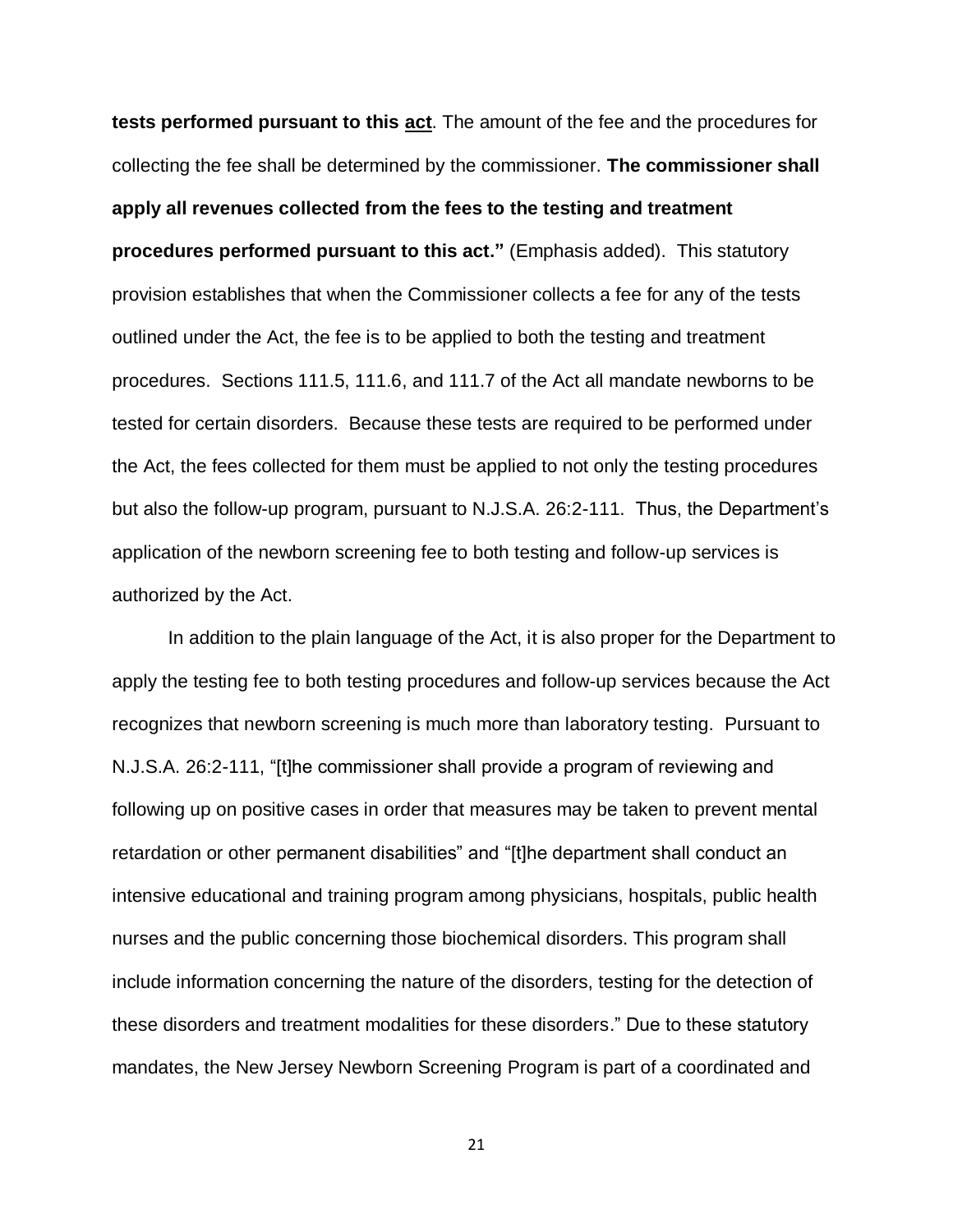**tests performed pursuant to this act**. The amount of the fee and the procedures for collecting the fee shall be determined by the commissioner. **The commissioner shall apply all revenues collected from the fees to the testing and treatment procedures performed pursuant to this act."** (Emphasis added). This statutory provision establishes that when the Commissioner collects a fee for any of the tests outlined under the Act, the fee is to be applied to both the testing and treatment procedures. Sections 111.5, 111.6, and 111.7 of the Act all mandate newborns to be tested for certain disorders. Because these tests are required to be performed under the Act, the fees collected for them must be applied to not only the testing procedures but also the follow-up program, pursuant to N.J.S.A. 26:2-111. Thus, the Department's application of the newborn screening fee to both testing and follow-up services is authorized by the Act.

In addition to the plain language of the Act, it is also proper for the Department to apply the testing fee to both testing procedures and follow-up services because the Act recognizes that newborn screening is much more than laboratory testing. Pursuant to N.J.S.A. 26:2-111, "[t]he commissioner shall provide a program of reviewing and following up on positive cases in order that measures may be taken to prevent mental retardation or other permanent disabilities" and "[t]he department shall conduct an intensive educational and training program among physicians, hospitals, public health nurses and the public concerning those biochemical disorders. This program shall include information concerning the nature of the disorders, testing for the detection of these disorders and treatment modalities for these disorders." Due to these statutory mandates, the New Jersey Newborn Screening Program is part of a coordinated and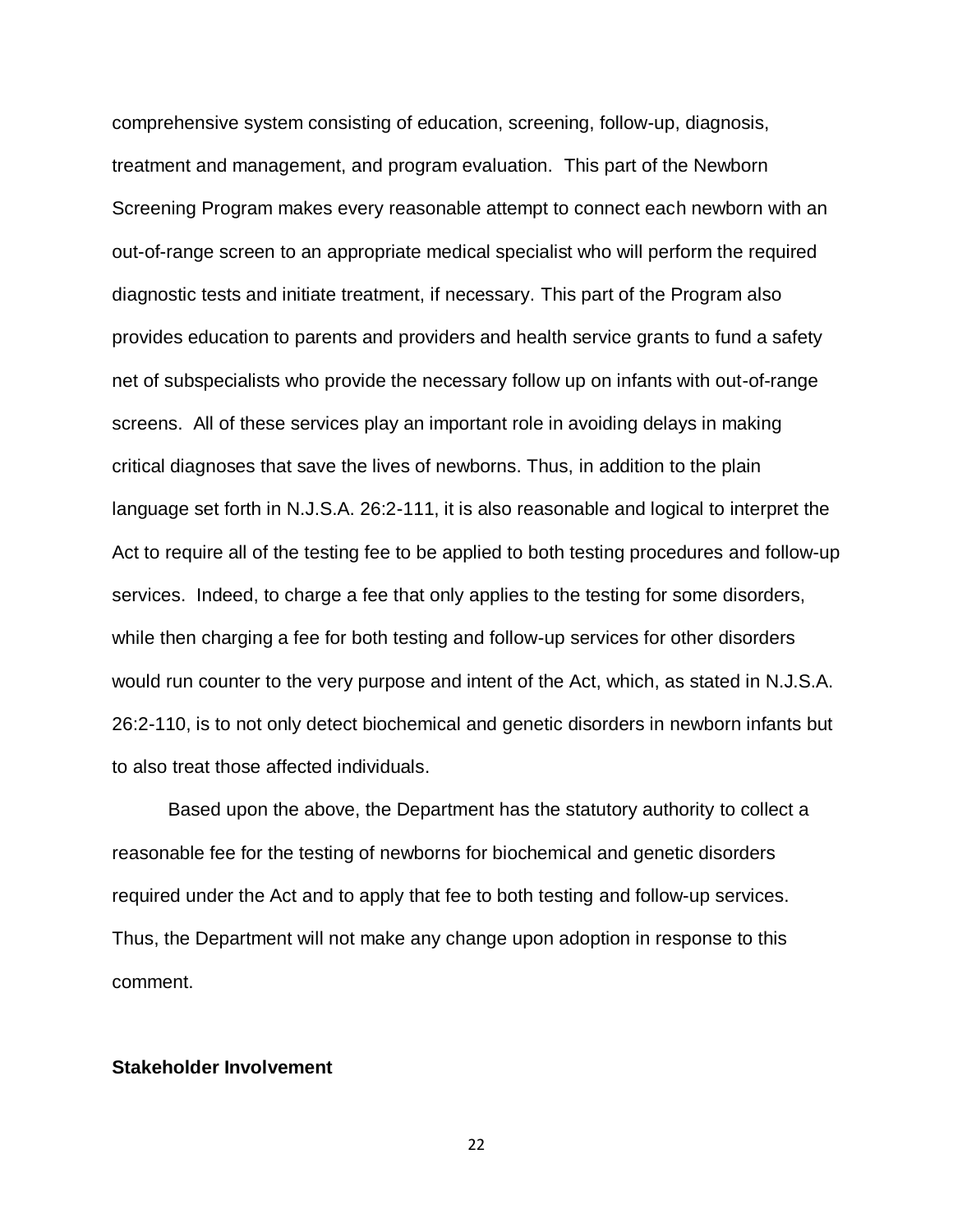comprehensive system consisting of education, screening, follow-up, diagnosis, treatment and management, and program evaluation. This part of the Newborn Screening Program makes every reasonable attempt to connect each newborn with an out-of-range screen to an appropriate medical specialist who will perform the required diagnostic tests and initiate treatment, if necessary. This part of the Program also provides education to parents and providers and health service grants to fund a safety net of subspecialists who provide the necessary follow up on infants with out-of-range screens. All of these services play an important role in avoiding delays in making critical diagnoses that save the lives of newborns. Thus, in addition to the plain language set forth in N.J.S.A. 26:2-111, it is also reasonable and logical to interpret the Act to require all of the testing fee to be applied to both testing procedures and follow-up services. Indeed, to charge a fee that only applies to the testing for some disorders, while then charging a fee for both testing and follow-up services for other disorders would run counter to the very purpose and intent of the Act, which, as stated in N.J.S.A. 26:2-110, is to not only detect biochemical and genetic disorders in newborn infants but to also treat those affected individuals.

Based upon the above, the Department has the statutory authority to collect a reasonable fee for the testing of newborns for biochemical and genetic disorders required under the Act and to apply that fee to both testing and follow-up services. Thus, the Department will not make any change upon adoption in response to this comment.

#### **Stakeholder Involvement**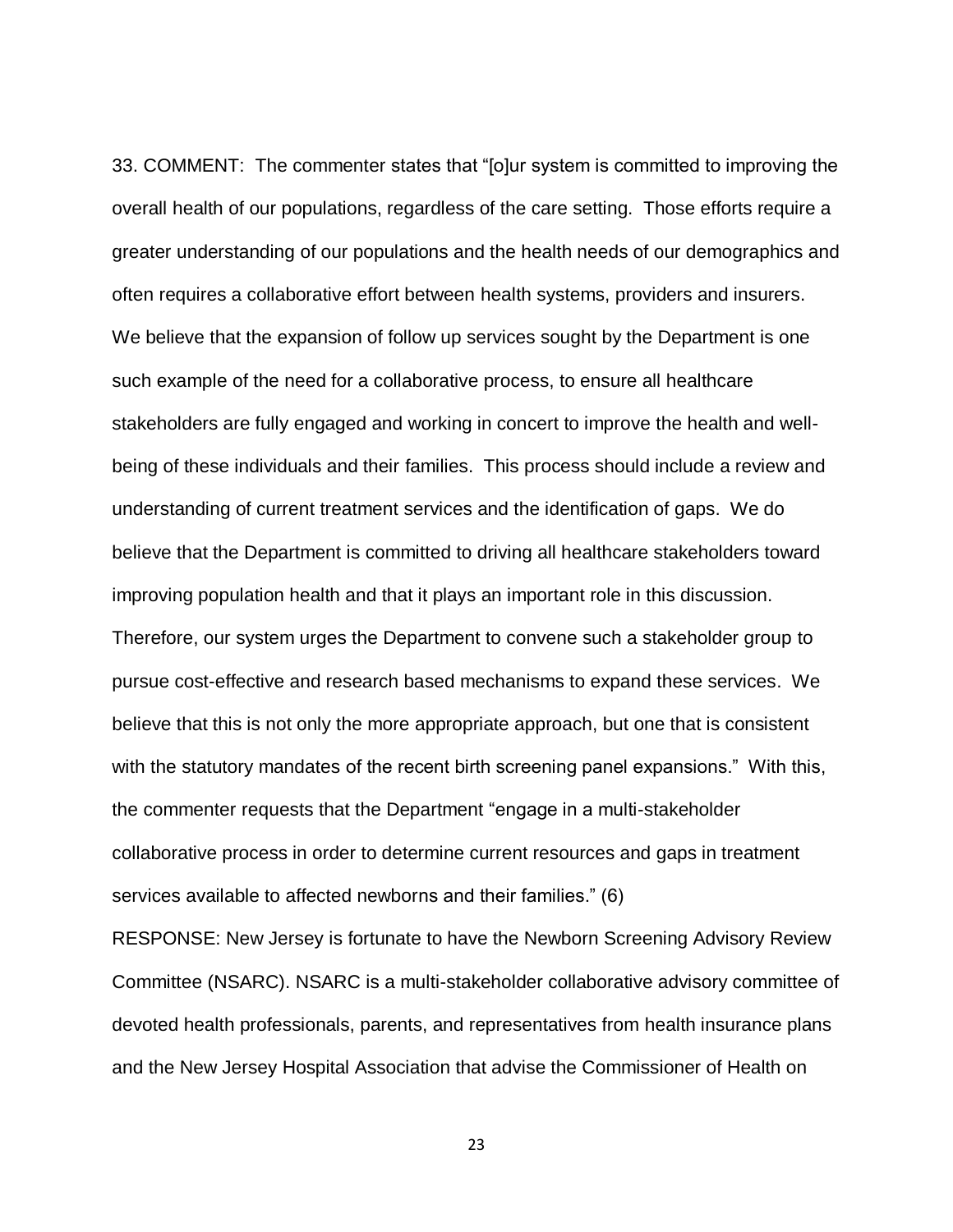33. COMMENT: The commenter states that "[o]ur system is committed to improving the overall health of our populations, regardless of the care setting. Those efforts require a greater understanding of our populations and the health needs of our demographics and often requires a collaborative effort between health systems, providers and insurers. We believe that the expansion of follow up services sought by the Department is one such example of the need for a collaborative process, to ensure all healthcare stakeholders are fully engaged and working in concert to improve the health and wellbeing of these individuals and their families. This process should include a review and understanding of current treatment services and the identification of gaps. We do believe that the Department is committed to driving all healthcare stakeholders toward improving population health and that it plays an important role in this discussion. Therefore, our system urges the Department to convene such a stakeholder group to pursue cost-effective and research based mechanisms to expand these services. We believe that this is not only the more appropriate approach, but one that is consistent with the statutory mandates of the recent birth screening panel expansions." With this, the commenter requests that the Department "engage in a multi-stakeholder collaborative process in order to determine current resources and gaps in treatment services available to affected newborns and their families." (6)

RESPONSE: New Jersey is fortunate to have the Newborn Screening Advisory Review Committee (NSARC). NSARC is a multi-stakeholder collaborative advisory committee of devoted health professionals, parents, and representatives from health insurance plans and the New Jersey Hospital Association that advise the Commissioner of Health on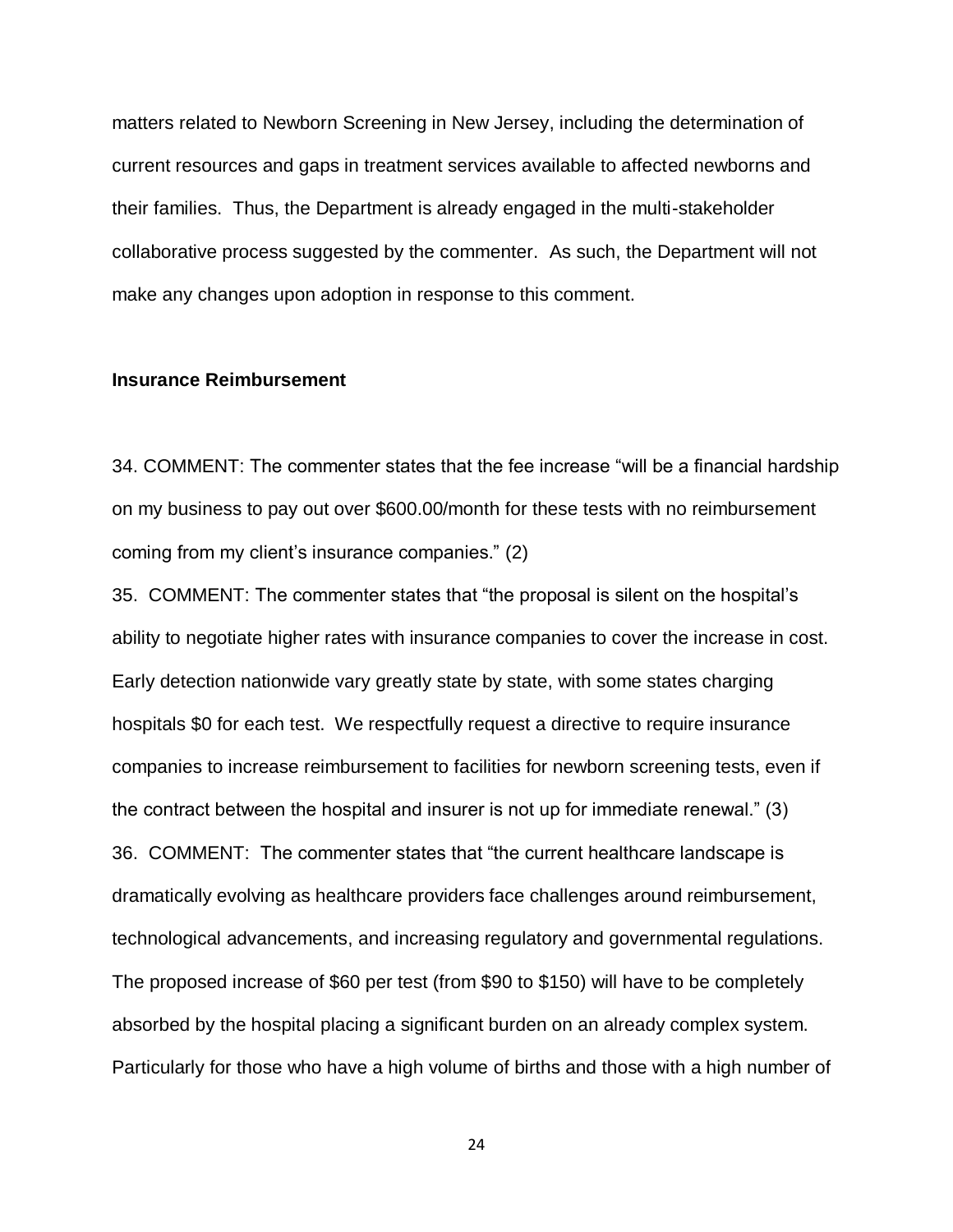matters related to Newborn Screening in New Jersey, including the determination of current resources and gaps in treatment services available to affected newborns and their families. Thus, the Department is already engaged in the multi-stakeholder collaborative process suggested by the commenter. As such, the Department will not make any changes upon adoption in response to this comment.

### **Insurance Reimbursement**

34. COMMENT: The commenter states that the fee increase "will be a financial hardship on my business to pay out over \$600.00/month for these tests with no reimbursement coming from my client's insurance companies." (2)

35. COMMENT: The commenter states that "the proposal is silent on the hospital's ability to negotiate higher rates with insurance companies to cover the increase in cost. Early detection nationwide vary greatly state by state, with some states charging hospitals \$0 for each test. We respectfully request a directive to require insurance companies to increase reimbursement to facilities for newborn screening tests, even if the contract between the hospital and insurer is not up for immediate renewal." (3) 36. COMMENT: The commenter states that "the current healthcare landscape is dramatically evolving as healthcare providers face challenges around reimbursement, technological advancements, and increasing regulatory and governmental regulations. The proposed increase of \$60 per test (from \$90 to \$150) will have to be completely absorbed by the hospital placing a significant burden on an already complex system. Particularly for those who have a high volume of births and those with a high number of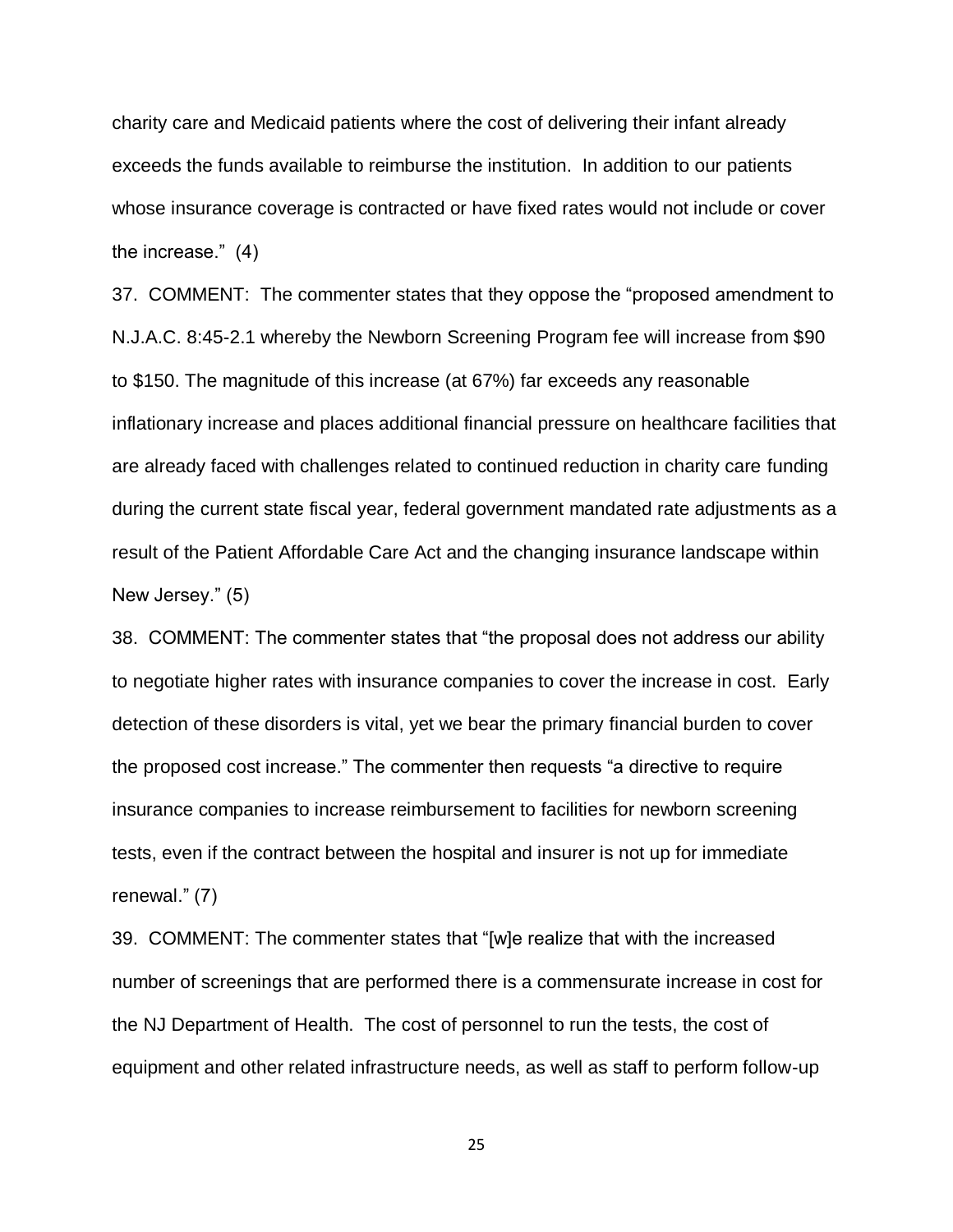charity care and Medicaid patients where the cost of delivering their infant already exceeds the funds available to reimburse the institution. In addition to our patients whose insurance coverage is contracted or have fixed rates would not include or cover the increase." (4)

37. COMMENT: The commenter states that they oppose the "proposed amendment to N.J.A.C. 8:45-2.1 whereby the Newborn Screening Program fee will increase from \$90 to \$150. The magnitude of this increase (at 67%) far exceeds any reasonable inflationary increase and places additional financial pressure on healthcare facilities that are already faced with challenges related to continued reduction in charity care funding during the current state fiscal year, federal government mandated rate adjustments as a result of the Patient Affordable Care Act and the changing insurance landscape within New Jersey." (5)

38. COMMENT: The commenter states that "the proposal does not address our ability to negotiate higher rates with insurance companies to cover the increase in cost. Early detection of these disorders is vital, yet we bear the primary financial burden to cover the proposed cost increase." The commenter then requests "a directive to require insurance companies to increase reimbursement to facilities for newborn screening tests, even if the contract between the hospital and insurer is not up for immediate renewal." (7)

39. COMMENT: The commenter states that "[w]e realize that with the increased number of screenings that are performed there is a commensurate increase in cost for the NJ Department of Health. The cost of personnel to run the tests, the cost of equipment and other related infrastructure needs, as well as staff to perform follow-up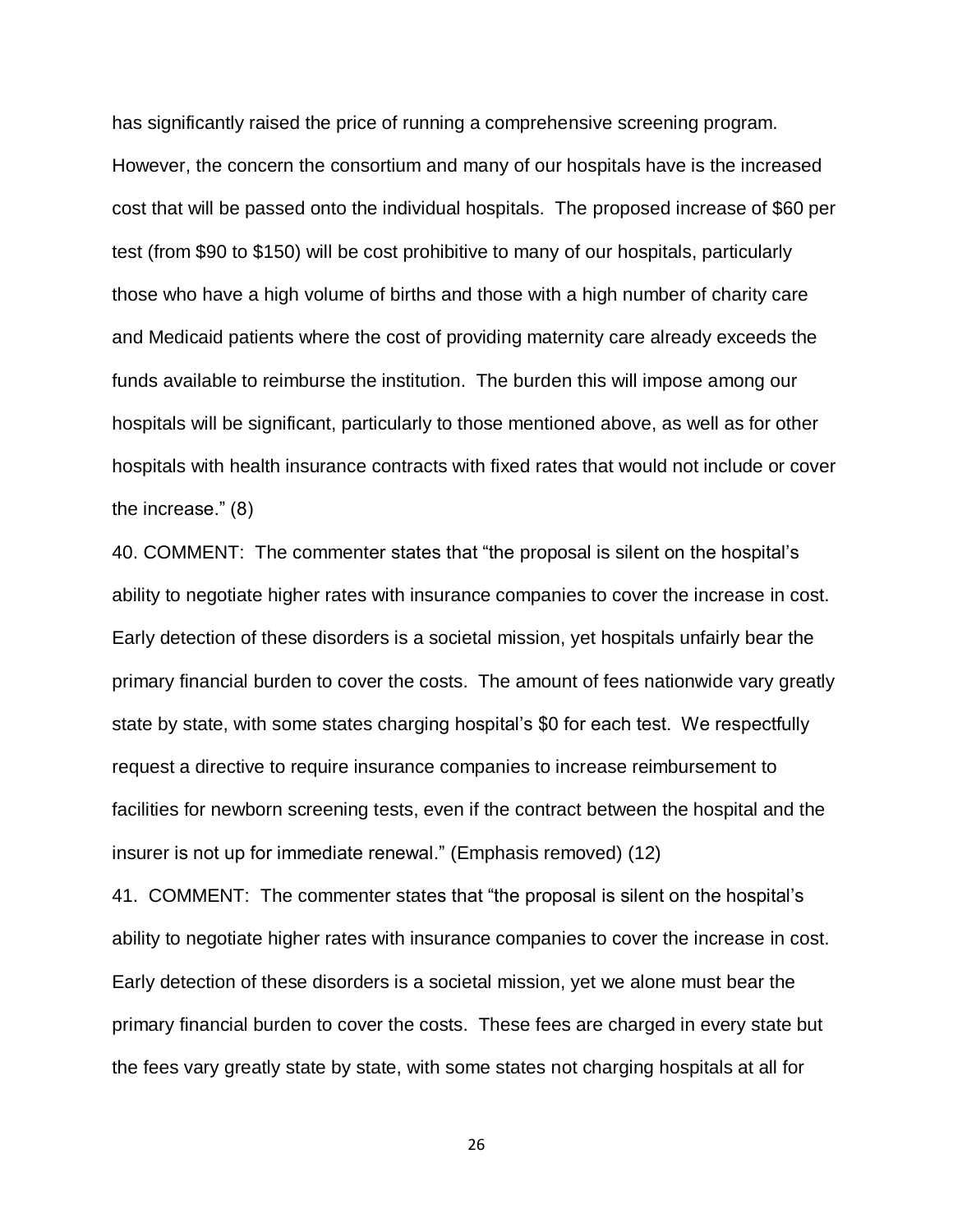has significantly raised the price of running a comprehensive screening program. However, the concern the consortium and many of our hospitals have is the increased cost that will be passed onto the individual hospitals. The proposed increase of \$60 per test (from \$90 to \$150) will be cost prohibitive to many of our hospitals, particularly those who have a high volume of births and those with a high number of charity care and Medicaid patients where the cost of providing maternity care already exceeds the funds available to reimburse the institution. The burden this will impose among our hospitals will be significant, particularly to those mentioned above, as well as for other hospitals with health insurance contracts with fixed rates that would not include or cover the increase." (8)

40. COMMENT: The commenter states that "the proposal is silent on the hospital's ability to negotiate higher rates with insurance companies to cover the increase in cost. Early detection of these disorders is a societal mission, yet hospitals unfairly bear the primary financial burden to cover the costs. The amount of fees nationwide vary greatly state by state, with some states charging hospital's \$0 for each test. We respectfully request a directive to require insurance companies to increase reimbursement to facilities for newborn screening tests, even if the contract between the hospital and the insurer is not up for immediate renewal." (Emphasis removed) (12)

41. COMMENT: The commenter states that "the proposal is silent on the hospital's ability to negotiate higher rates with insurance companies to cover the increase in cost. Early detection of these disorders is a societal mission, yet we alone must bear the primary financial burden to cover the costs. These fees are charged in every state but the fees vary greatly state by state, with some states not charging hospitals at all for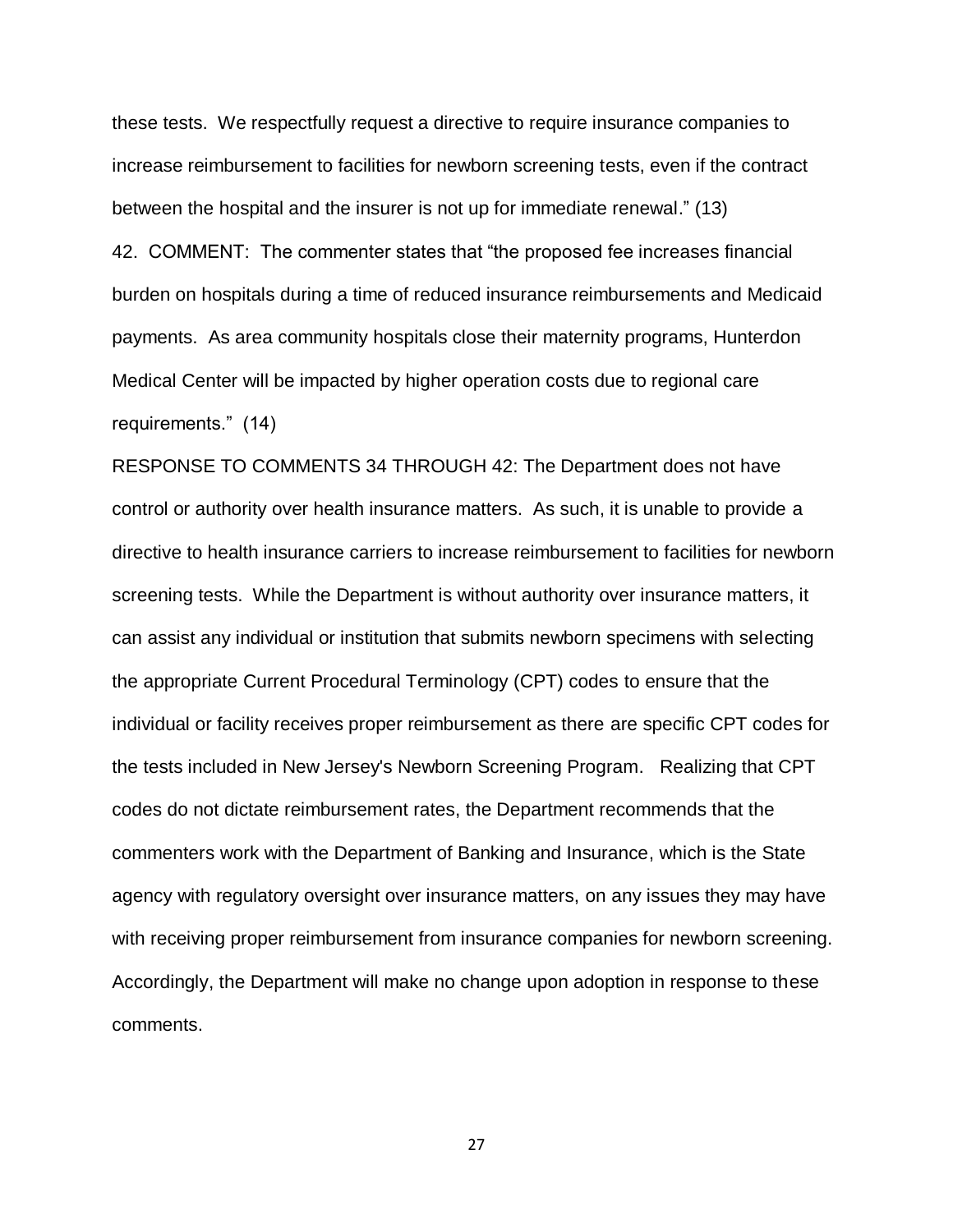these tests. We respectfully request a directive to require insurance companies to increase reimbursement to facilities for newborn screening tests, even if the contract between the hospital and the insurer is not up for immediate renewal." (13) 42. COMMENT: The commenter states that "the proposed fee increases financial burden on hospitals during a time of reduced insurance reimbursements and Medicaid payments. As area community hospitals close their maternity programs, Hunterdon Medical Center will be impacted by higher operation costs due to regional care requirements." (14)

RESPONSE TO COMMENTS 34 THROUGH 42: The Department does not have control or authority over health insurance matters. As such, it is unable to provide a directive to health insurance carriers to increase reimbursement to facilities for newborn screening tests. While the Department is without authority over insurance matters, it can assist any individual or institution that submits newborn specimens with selecting the appropriate Current Procedural Terminology (CPT) codes to ensure that the individual or facility receives proper reimbursement as there are specific CPT codes for the tests included in New Jersey's Newborn Screening Program. Realizing that CPT codes do not dictate reimbursement rates, the Department recommends that the commenters work with the Department of Banking and Insurance, which is the State agency with regulatory oversight over insurance matters, on any issues they may have with receiving proper reimbursement from insurance companies for newborn screening. Accordingly, the Department will make no change upon adoption in response to these comments.